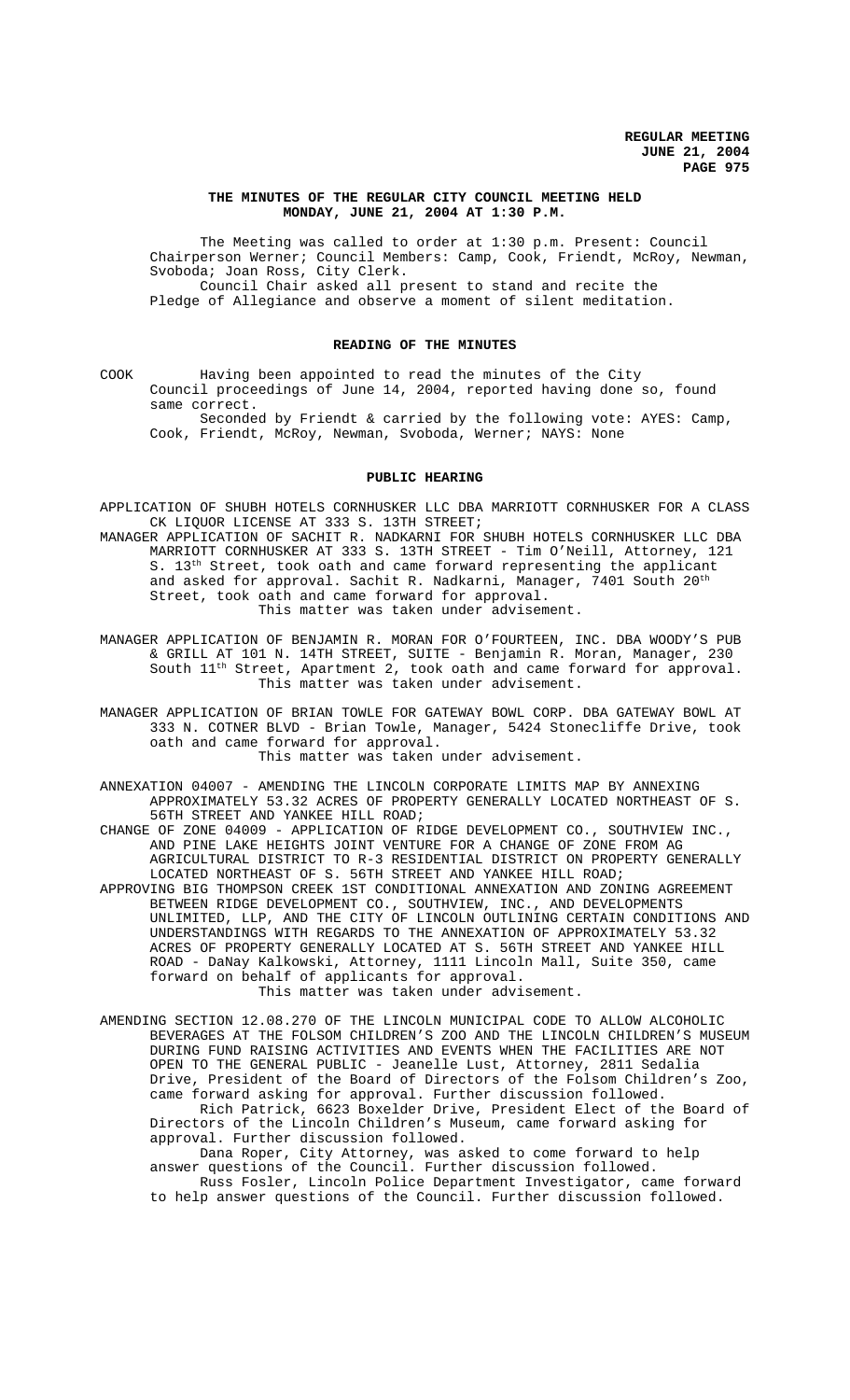## **THE MINUTES OF THE REGULAR CITY COUNCIL MEETING HELD MONDAY, JUNE 21, 2004 AT 1:30 P.M.**

The Meeting was called to order at 1:30 p.m. Present: Council Chairperson Werner; Council Members: Camp, Cook, Friendt, McRoy, Newman, Svoboda; Joan Ross, City Clerk. Council Chair asked all present to stand and recite the Pledge of Allegiance and observe a moment of silent meditation.

#### **READING OF THE MINUTES**

COOK Having been appointed to read the minutes of the City Council proceedings of June 14, 2004, reported having done so, found same correct.

Seconded by Friendt & carried by the following vote: AYES: Camp, Cook, Friendt, McRoy, Newman, Svoboda, Werner; NAYS: None

## **PUBLIC HEARING**

- APPLICATION OF SHUBH HOTELS CORNHUSKER LLC DBA MARRIOTT CORNHUSKER FOR A CLASS CK LIQUOR LICENSE AT 333 S. 13TH STREET;
- MANAGER APPLICATION OF SACHIT R. NADKARNI FOR SHUBH HOTELS CORNHUSKER LLC DBA MARRIOTT CORNHUSKER AT 333 S. 13TH STREET - Tim O'Neill, Attorney, 121 S.  $13<sup>th</sup>$  Street, took oath and came forward representing the applicant and asked for approval. Sachit R. Nadkarni, Manager, 7401 South  $20^{th}$ Street, took oath and came forward for approval. This matter was taken under advisement.
- MANAGER APPLICATION OF BENJAMIN R. MORAN FOR O'FOURTEEN, INC. DBA WOODY'S PUB & GRILL AT 101 N. 14TH STREET, SUITE - Benjamin R. Moran, Manager, 230 South  $11^{\text{th}}$  Street, Apartment 2, took oath and came forward for approval. This matter was taken under advisement.
- MANAGER APPLICATION OF BRIAN TOWLE FOR GATEWAY BOWL CORP. DBA GATEWAY BOWL AT 333 N. COTNER BLVD - Brian Towle, Manager, 5424 Stonecliffe Drive, took oath and came forward for approval. This matter was taken under advisement.
	-
- ANNEXATION 04007 AMENDING THE LINCOLN CORPORATE LIMITS MAP BY ANNEXING APPROXIMATELY 53.32 ACRES OF PROPERTY GENERALLY LOCATED NORTHEAST OF S. 56TH STREET AND YANKEE HILL ROAD;
- CHANGE OF ZONE 04009 APPLICATION OF RIDGE DEVELOPMENT CO., SOUTHVIEW INC., AND PINE LAKE HEIGHTS JOINT VENTURE FOR A CHANGE OF ZONE FROM AG AGRICULTURAL DISTRICT TO R-3 RESIDENTIAL DISTRICT ON PROPERTY GENERALLY LOCATED NORTHEAST OF S. 56TH STREET AND YANKEE HILL ROAD;
- APPROVING BIG THOMPSON CREEK 1ST CONDITIONAL ANNEXATION AND ZONING AGREEMENT BETWEEN RIDGE DEVELOPMENT CO., SOUTHVIEW, INC., AND DEVELOPMENTS UNLIMITED, LLP, AND THE CITY OF LINCOLN OUTLINING CERTAIN CONDITIONS AND UNDERSTANDINGS WITH REGARDS TO THE ANNEXATION OF APPROXIMATELY 53.32 ACRES OF PROPERTY GENERALLY LOCATED AT S. 56TH STREET AND YANKEE HILL ROAD - DaNay Kalkowski, Attorney, 1111 Lincoln Mall, Suite 350, came forward on behalf of applicants for approval.
	- This matter was taken under advisement.
- AMENDING SECTION 12.08.270 OF THE LINCOLN MUNICIPAL CODE TO ALLOW ALCOHOLIC BEVERAGES AT THE FOLSOM CHILDREN'S ZOO AND THE LINCOLN CHILDREN'S MUSEUM DURING FUND RAISING ACTIVITIES AND EVENTS WHEN THE FACILITIES ARE NOT OPEN TO THE GENERAL PUBLIC - Jeanelle Lust, Attorney, 2811 Sedalia Drive, President of the Board of Directors of the Folsom Children's Zoo, came forward asking for approval. Further discussion followed. Rich Patrick, 6623 Boxelder Drive, President Elect of the Board of Directors of the Lincoln Children's Museum, came forward asking for approval. Further discussion followed.

Dana Roper, City Attorney, was asked to come forward to help answer questions of the Council. Further discussion followed. Russ Fosler, Lincoln Police Department Investigator, came forward to help answer questions of the Council. Further discussion followed.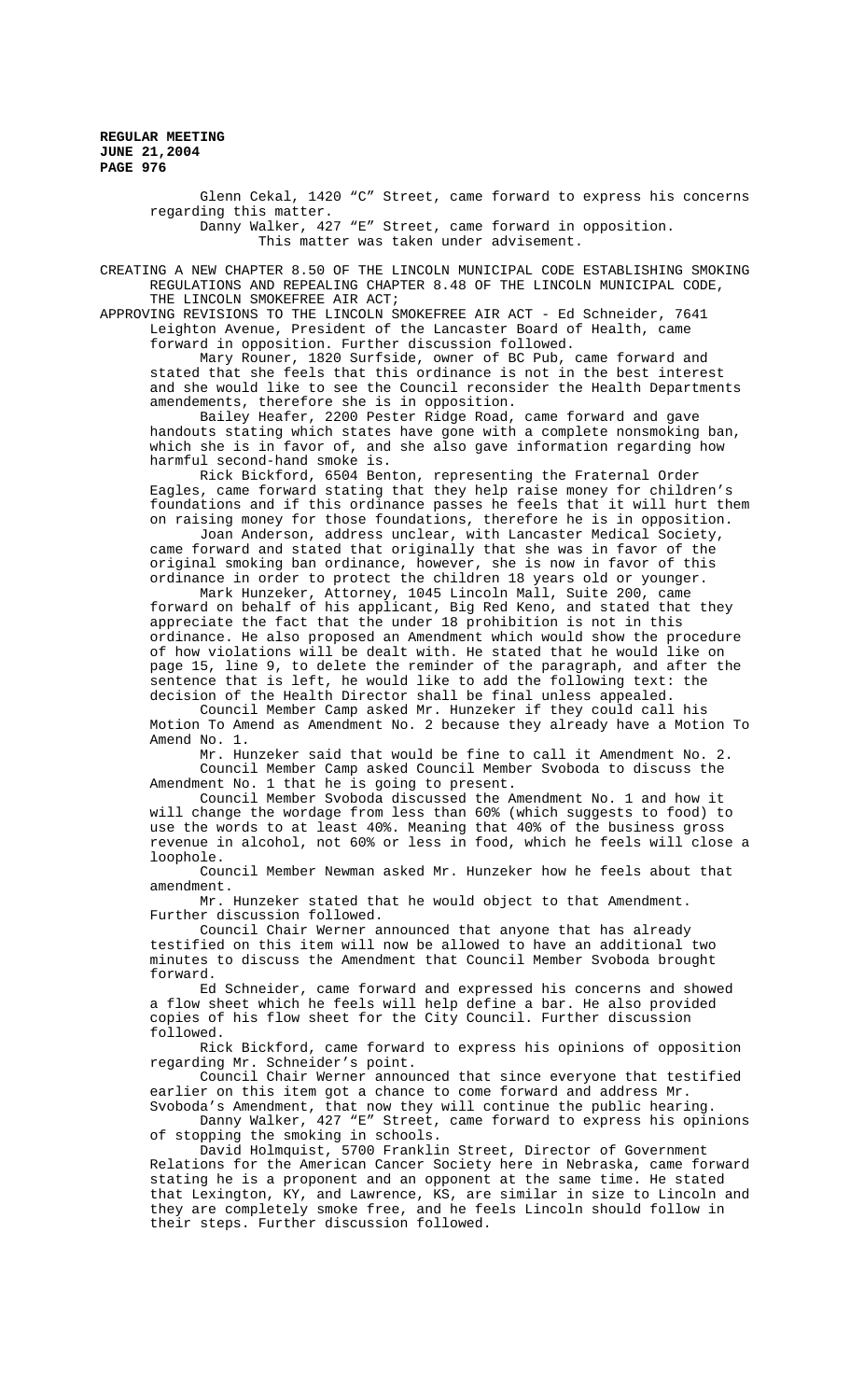> Glenn Cekal, 1420 "C" Street, came forward to express his concerns regarding this matter. Danny Walker, 427 "E" Street, came forward in opposition. This matter was taken under advisement.

CREATING A NEW CHAPTER 8.50 OF THE LINCOLN MUNICIPAL CODE ESTABLISHING SMOKING REGULATIONS AND REPEALING CHAPTER 8.48 OF THE LINCOLN MUNICIPAL CODE, THE LINCOLN SMOKEFREE AIR ACT;

APPROVING REVISIONS TO THE LINCOLN SMOKEFREE AIR ACT - Ed Schneider, 7641 Leighton Avenue, President of the Lancaster Board of Health, came forward in opposition. Further discussion followed.

Mary Rouner, 1820 Surfside, owner of BC Pub, came forward and stated that she feels that this ordinance is not in the best interest and she would like to see the Council reconsider the Health Departments amendements, therefore she is in opposition.

Bailey Heafer, 2200 Pester Ridge Road, came forward and gave handouts stating which states have gone with a complete nonsmoking ban, which she is in favor of, and she also gave information regarding how harmful second-hand smoke is.

Rick Bickford, 6504 Benton, representing the Fraternal Order Eagles, came forward stating that they help raise money for children's foundations and if this ordinance passes he feels that it will hurt them on raising money for those foundations, therefore he is in opposition.

Joan Anderson, address unclear, with Lancaster Medical Society, came forward and stated that originally that she was in favor of the original smoking ban ordinance, however, she is now in favor of this ordinance in order to protect the children 18 years old or younger.

Mark Hunzeker, Attorney, 1045 Lincoln Mall, Suite 200, came forward on behalf of his applicant, Big Red Keno, and stated that they appreciate the fact that the under 18 prohibition is not in this ordinance. He also proposed an Amendment which would show the procedure of how violations will be dealt with. He stated that he would like on page 15, line 9, to delete the reminder of the paragraph, and after the sentence that is left, he would like to add the following text: the decision of the Health Director shall be final unless appealed.

Council Member Camp asked Mr. Hunzeker if they could call his Motion To Amend as Amendment No. 2 because they already have a Motion To Amend No. 1.

Mr. Hunzeker said that would be fine to call it Amendment No. 2. Council Member Camp asked Council Member Svoboda to discuss the Amendment No. 1 that he is going to present.

Council Member Svoboda discussed the Amendment No. 1 and how it will change the wordage from less than 60% (which suggests to food) to use the words to at least 40%. Meaning that 40% of the business gross revenue in alcohol, not 60% or less in food, which he feels will close a loophole.

Council Member Newman asked Mr. Hunzeker how he feels about that amendment.

Mr. Hunzeker stated that he would object to that Amendment. Further discussion followed.

Council Chair Werner announced that anyone that has already testified on this item will now be allowed to have an additional two minutes to discuss the Amendment that Council Member Svoboda brought forward.

Ed Schneider, came forward and expressed his concerns and showed a flow sheet which he feels will help define a bar. He also provided copies of his flow sheet for the City Council. Further discussion followed.

Rick Bickford, came forward to express his opinions of opposition regarding Mr. Schneider's point.

Council Chair Werner announced that since everyone that testified earlier on this item got a chance to come forward and address Mr. Svoboda's Amendment, that now they will continue the public hearing.

Danny Walker, 427 "E" Street, came forward to express his opinions of stopping the smoking in schools.

David Holmquist, 5700 Franklin Street, Director of Government Relations for the American Cancer Society here in Nebraska, came forward stating he is a proponent and an opponent at the same time. He stated that Lexington, KY, and Lawrence, KS, are similar in size to Lincoln and they are completely smoke free, and he feels Lincoln should follow in their steps. Further discussion followed.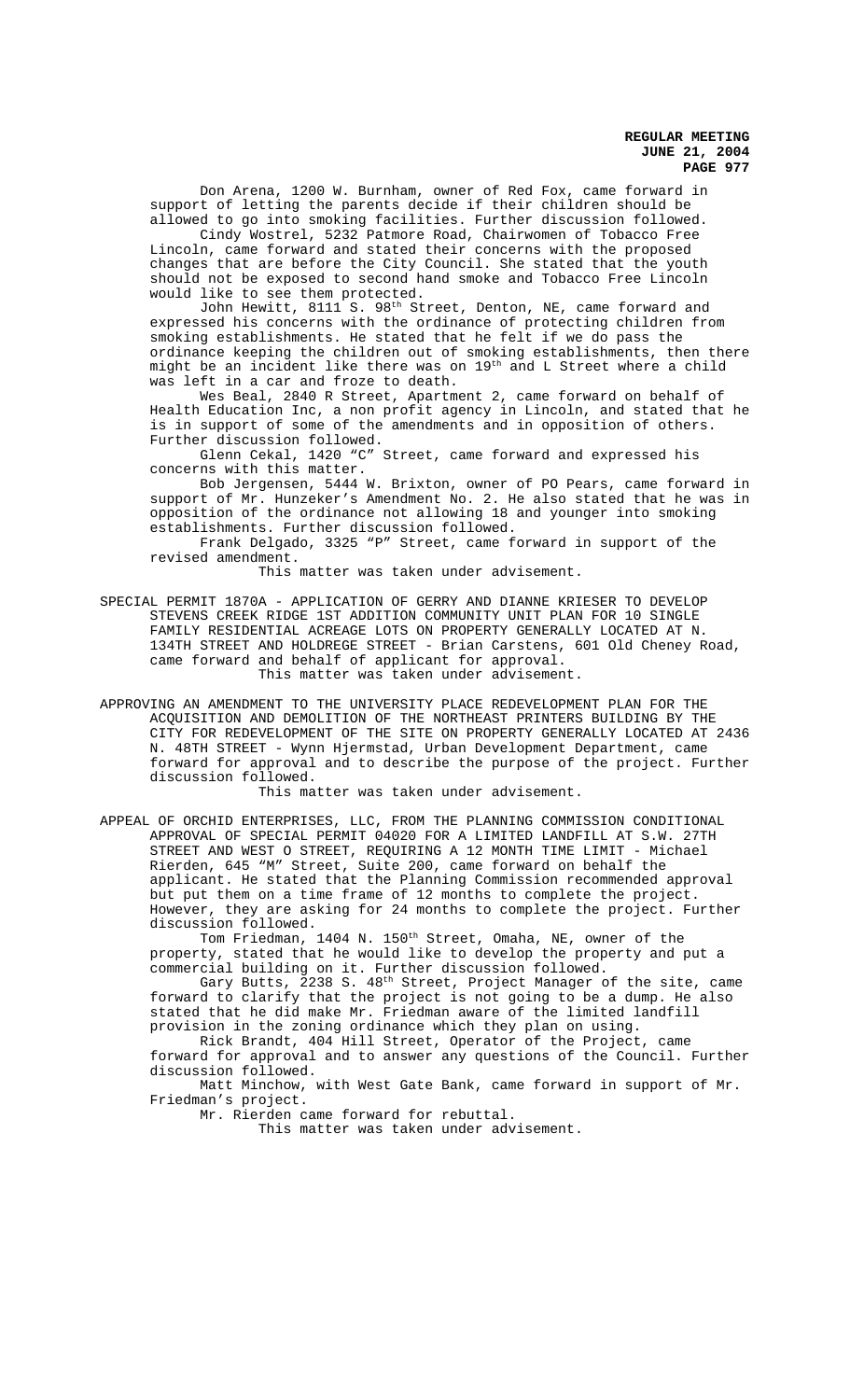Don Arena, 1200 W. Burnham, owner of Red Fox, came forward in support of letting the parents decide if their children should be allowed to go into smoking facilities. Further discussion followed.

Cindy Wostrel, 5232 Patmore Road, Chairwomen of Tobacco Free Lincoln, came forward and stated their concerns with the proposed changes that are before the City Council. She stated that the youth should not be exposed to second hand smoke and Tobacco Free Lincoln would like to see them protected.

John Hewitt, 8111 S. 98<sup>th</sup> Street, Denton, NE, came forward and expressed his concerns with the ordinance of protecting children from smoking establishments. He stated that he felt if we do pass the ordinance keeping the children out of smoking establishments, then there might be an incident like there was on 19<sup>th</sup> and L Street where a child was left in a car and froze to death.

Wes Beal, 2840 R Street, Apartment 2, came forward on behalf of Health Education Inc, a non profit agency in Lincoln, and stated that he is in support of some of the amendments and in opposition of others. Further discussion followed.

Glenn Cekal, 1420 "C" Street, came forward and expressed his concerns with this matter.

Bob Jergensen, 5444 W. Brixton, owner of PO Pears, came forward in support of Mr. Hunzeker's Amendment No. 2. He also stated that he was in opposition of the ordinance not allowing 18 and younger into smoking establishments. Further discussion followed.

Frank Delgado, 3325 "P" Street, came forward in support of the revised amendment.

This matter was taken under advisement.

- SPECIAL PERMIT 1870A APPLICATION OF GERRY AND DIANNE KRIESER TO DEVELOP STEVENS CREEK RIDGE 1ST ADDITION COMMUNITY UNIT PLAN FOR 10 SINGLE FAMILY RESIDENTIAL ACREAGE LOTS ON PROPERTY GENERALLY LOCATED AT N. 134TH STREET AND HOLDREGE STREET - Brian Carstens, 601 Old Cheney Road, came forward and behalf of applicant for approval. This matter was taken under advisement.
- APPROVING AN AMENDMENT TO THE UNIVERSITY PLACE REDEVELOPMENT PLAN FOR THE ACQUISITION AND DEMOLITION OF THE NORTHEAST PRINTERS BUILDING BY THE CITY FOR REDEVELOPMENT OF THE SITE ON PROPERTY GENERALLY LOCATED AT 2436 N. 48TH STREET - Wynn Hjermstad, Urban Development Department, came forward for approval and to describe the purpose of the project. Further discussion followed.

This matter was taken under advisement.

APPEAL OF ORCHID ENTERPRISES, LLC, FROM THE PLANNING COMMISSION CONDITIONAL APPROVAL OF SPECIAL PERMIT 04020 FOR A LIMITED LANDFILL AT S.W. 27TH STREET AND WEST O STREET, REQUIRING A 12 MONTH TIME LIMIT - Michael Rierden, 645 "M" Street, Suite 200, came forward on behalf the applicant. He stated that the Planning Commission recommended approval but put them on a time frame of 12 months to complete the project. However, they are asking for 24 months to complete the project. Further discussion followed.

Tom Friedman, 1404 N. 150<sup>th</sup> Street, Omaha, NE, owner of the property, stated that he would like to develop the property and put a commercial building on it. Further discussion followed.

Gary Butts, 2238 S.  $48^{\rm th}$  Street, Project Manager of the site, came forward to clarify that the project is not going to be a dump. He also stated that he did make Mr. Friedman aware of the limited landfill provision in the zoning ordinance which they plan on using.

Rick Brandt, 404 Hill Street, Operator of the Project, came forward for approval and to answer any questions of the Council. Further discussion followed.

Matt Minchow, with West Gate Bank, came forward in support of Mr. Friedman's project.

Mr. Rierden came forward for rebuttal.

This matter was taken under advisement.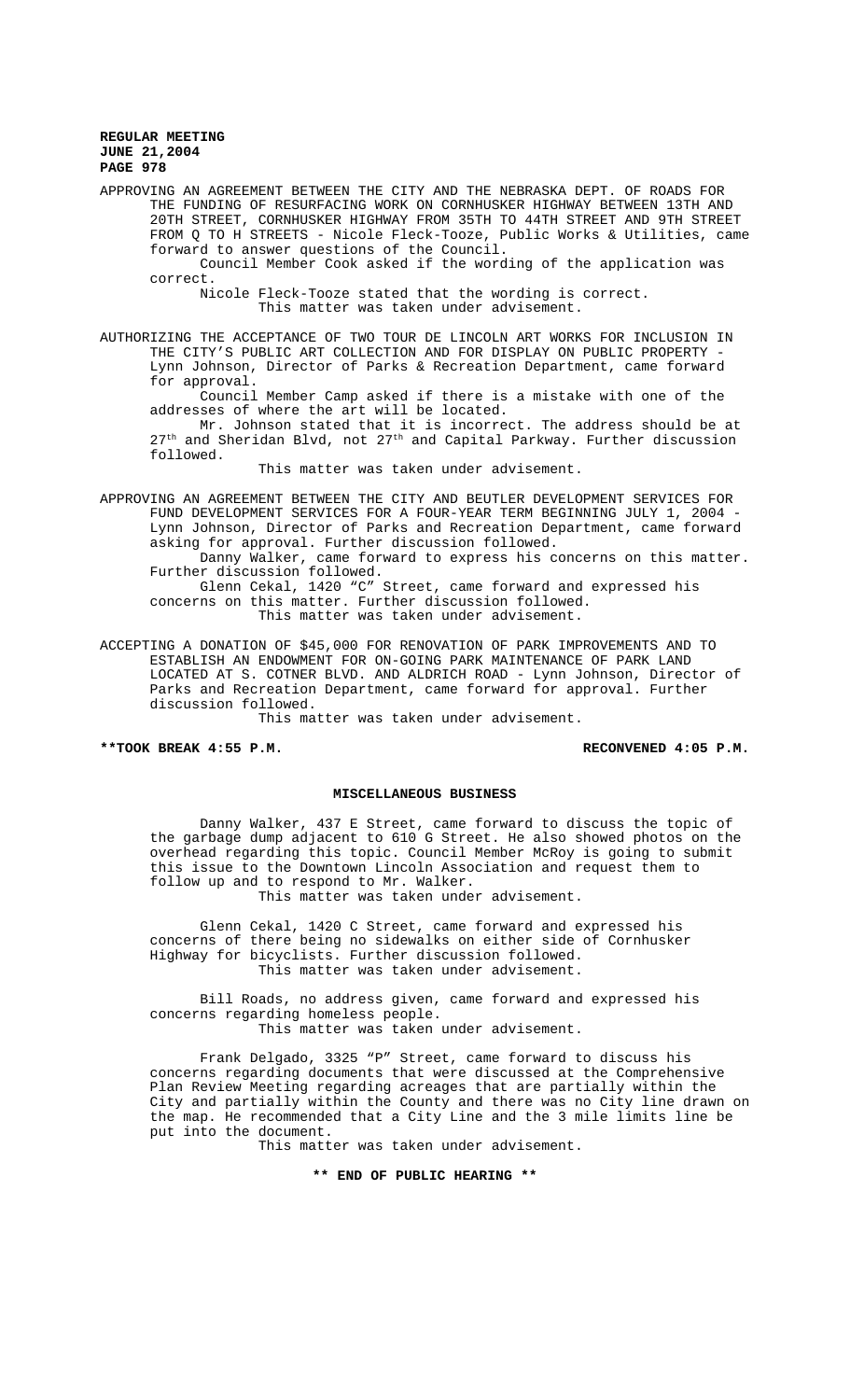APPROVING AN AGREEMENT BETWEEN THE CITY AND THE NEBRASKA DEPT. OF ROADS FOR THE FUNDING OF RESURFACING WORK ON CORNHUSKER HIGHWAY BETWEEN 13TH AND 20TH STREET, CORNHUSKER HIGHWAY FROM 35TH TO 44TH STREET AND 9TH STREET FROM Q TO H STREETS - Nicole Fleck-Tooze, Public Works & Utilities, came forward to answer questions of the Council.

Council Member Cook asked if the wording of the application was correct.

Nicole Fleck-Tooze stated that the wording is correct. This matter was taken under advisement.

AUTHORIZING THE ACCEPTANCE OF TWO TOUR DE LINCOLN ART WORKS FOR INCLUSION IN THE CITY'S PUBLIC ART COLLECTION AND FOR DISPLAY ON PUBLIC PROPERTY - Lynn Johnson, Director of Parks & Recreation Department, came forward for approval.

Council Member Camp asked if there is a mistake with one of the addresses of where the art will be located.

Mr. Johnson stated that it is incorrect. The address should be at 27<sup>th</sup> and Sheridan Blvd, not 27<sup>th</sup> and Capital Parkway. Further discussion followed.

This matter was taken under advisement.

APPROVING AN AGREEMENT BETWEEN THE CITY AND BEUTLER DEVELOPMENT SERVICES FOR FUND DEVELOPMENT SERVICES FOR A FOUR-YEAR TERM BEGINNING JULY 1, 2004 Lynn Johnson, Director of Parks and Recreation Department, came forward asking for approval. Further discussion followed.

Danny Walker, came forward to express his concerns on this matter. Further discussion followed.

Glenn Cekal, 1420 "C" Street, came forward and expressed his concerns on this matter. Further discussion followed. This matter was taken under advisement.

ACCEPTING A DONATION OF \$45,000 FOR RENOVATION OF PARK IMPROVEMENTS AND TO ESTABLISH AN ENDOWMENT FOR ON-GOING PARK MAINTENANCE OF PARK LAND LOCATED AT S. COTNER BLVD. AND ALDRICH ROAD - Lynn Johnson, Director of Parks and Recreation Department, came forward for approval. Further discussion followed.

This matter was taken under advisement.

**\*\*TOOK BREAK 4:55 P.M. RECONVENED 4:05 P.M.**

#### **MISCELLANEOUS BUSINESS**

Danny Walker, 437 E Street, came forward to discuss the topic of the garbage dump adjacent to 610 G Street. He also showed photos on the overhead regarding this topic. Council Member McRoy is going to submit this issue to the Downtown Lincoln Association and request them to follow up and to respond to Mr. Walker.

This matter was taken under advisement.

Glenn Cekal, 1420 C Street, came forward and expressed his concerns of there being no sidewalks on either side of Cornhusker Highway for bicyclists. Further discussion followed. This matter was taken under advisement.

Bill Roads, no address given, came forward and expressed his concerns regarding homeless people. This matter was taken under advisement.

Frank Delgado, 3325 "P" Street, came forward to discuss his concerns regarding documents that were discussed at the Comprehensive Plan Review Meeting regarding acreages that are partially within the City and partially within the County and there was no City line drawn on the map. He recommended that a City Line and the 3 mile limits line be put into the document.

This matter was taken under advisement.

**\*\* END OF PUBLIC HEARING \*\***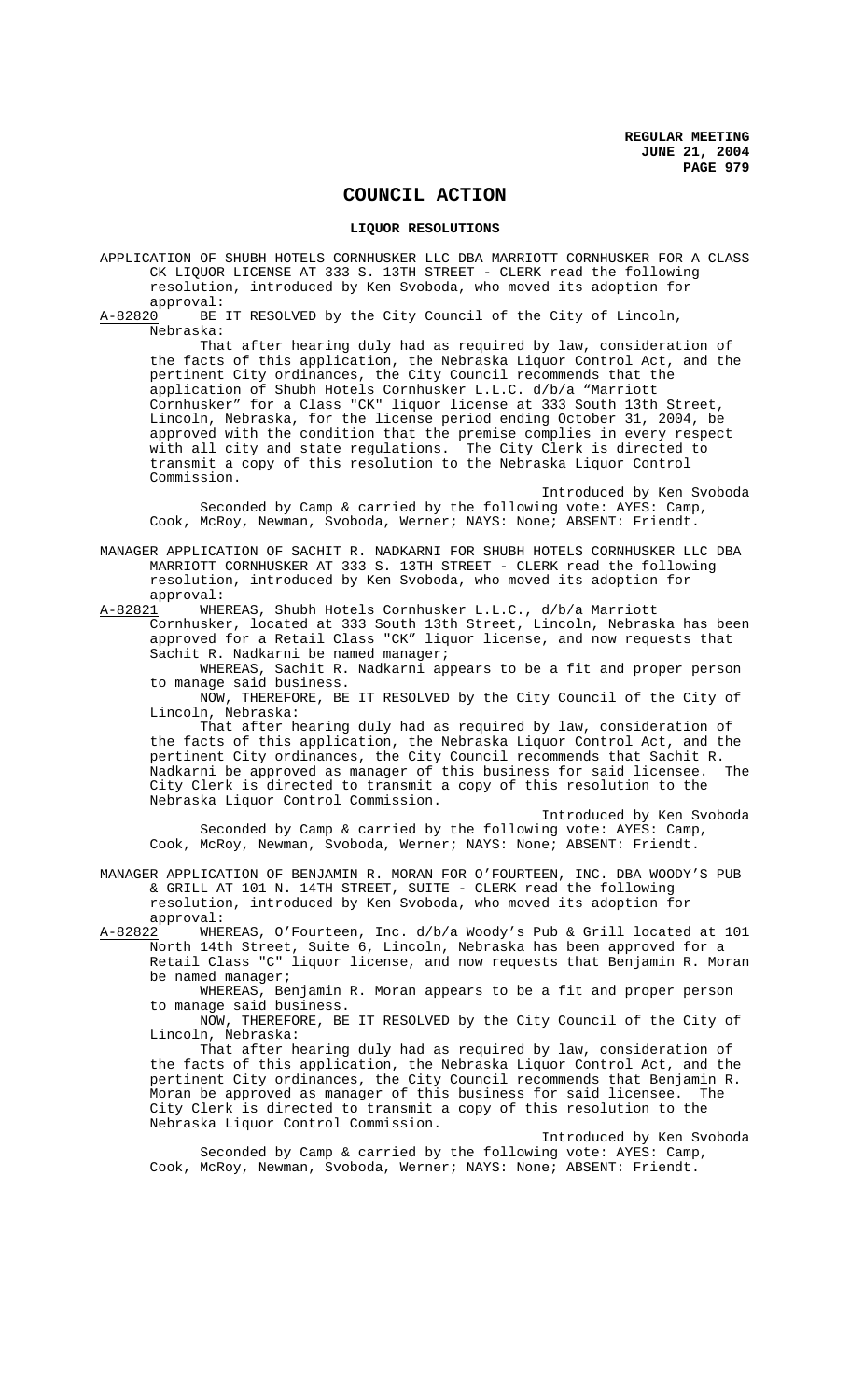# **COUNCIL ACTION**

### **LIQUOR RESOLUTIONS**

- APPLICATION OF SHUBH HOTELS CORNHUSKER LLC DBA MARRIOTT CORNHUSKER FOR A CLASS CK LIQUOR LICENSE AT 333 S. 13TH STREET - CLERK read the following resolution, introduced by Ken Svoboda, who moved its adoption for
- approval:<br>A-82820 BE BE IT RESOLVED by the City Council of the City of Lincoln, Nebraska:

That after hearing duly had as required by law, consideration of the facts of this application, the Nebraska Liquor Control Act, and the pertinent City ordinances, the City Council recommends that the application of Shubh Hotels Cornhusker L.L.C. d/b/a "Marriott Cornhusker" for a Class "CK" liquor license at 333 South 13th Street, Lincoln, Nebraska, for the license period ending October 31, 2004, be approved with the condition that the premise complies in every respect with all city and state regulations. The City Clerk is directed to transmit a copy of this resolution to the Nebraska Liquor Control Commission.

Introduced by Ken Svoboda Seconded by Camp & carried by the following vote: AYES: Camp, Cook, McRoy, Newman, Svoboda, Werner; NAYS: None; ABSENT: Friendt.

MANAGER APPLICATION OF SACHIT R. NADKARNI FOR SHUBH HOTELS CORNHUSKER LLC DBA MARRIOTT CORNHUSKER AT 333 S. 13TH STREET - CLERK read the following resolution, introduced by Ken Svoboda, who moved its adoption for approval:

A-82821 WHEREAS, Shubh Hotels Cornhusker L.L.C., d/b/a Marriott

Cornhusker, located at 333 South 13th Street, Lincoln, Nebraska has been approved for a Retail Class "CK" liquor license, and now requests that Sachit R. Nadkarni be named manager;

WHEREAS, Sachit R. Nadkarni appears to be a fit and proper person to manage said business.

NOW, THEREFORE, BE IT RESOLVED by the City Council of the City of Lincoln, Nebraska:

That after hearing duly had as required by law, consideration of the facts of this application, the Nebraska Liquor Control Act, and the pertinent City ordinances, the City Council recommends that Sachit R. Nadkarni be approved as manager of this business for said licensee. The City Clerk is directed to transmit a copy of this resolution to the Nebraska Liquor Control Commission.

Introduced by Ken Svoboda

Seconded by Camp & carried by the following vote: AYES: Camp, Cook, McRoy, Newman, Svoboda, Werner; NAYS: None; ABSENT: Friendt.

MANAGER APPLICATION OF BENJAMIN R. MORAN FOR O'FOURTEEN, INC. DBA WOODY'S PUB & GRILL AT 101 N. 14TH STREET, SUITE - CLERK read the following resolution, introduced by Ken Svoboda, who moved its adoption for approval:

A-82822 WHEREAS, O'Fourteen, Inc. d/b/a Woody's Pub & Grill located at 101 North 14th Street, Suite 6, Lincoln, Nebraska has been approved for a Retail Class "C" liquor license, and now requests that Benjamin R. Moran be named manager;

WHEREAS, Benjamin R. Moran appears to be a fit and proper person to manage said business.

NOW, THEREFORE, BE IT RESOLVED by the City Council of the City of Lincoln, Nebraska:

That after hearing duly had as required by law, consideration of the facts of this application, the Nebraska Liquor Control Act, and the pertinent City ordinances, the City Council recommends that Benjamin R. Moran be approved as manager of this business for said licensee. The City Clerk is directed to transmit a copy of this resolution to the Nebraska Liquor Control Commission.

Introduced by Ken Svoboda

Seconded by Camp & carried by the following vote: AYES: Camp, Cook, McRoy, Newman, Svoboda, Werner; NAYS: None; ABSENT: Friendt.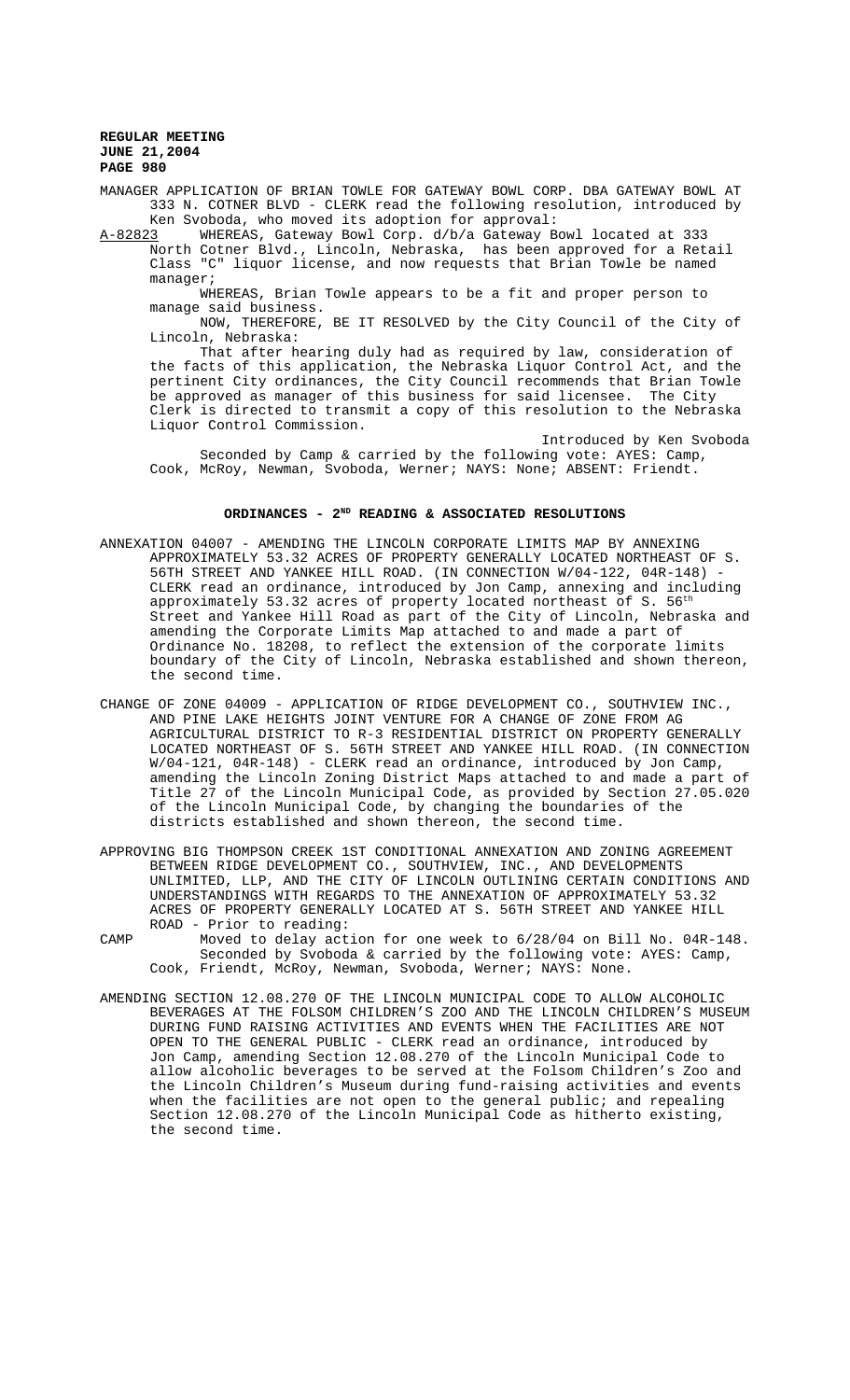MANAGER APPLICATION OF BRIAN TOWLE FOR GATEWAY BOWL CORP. DBA GATEWAY BOWL AT 333 N. COTNER BLVD - CLERK read the following resolution, introduced by Ken Svoboda, who moved its adoption for approval:

A-82823 WHEREAS, Gateway Bowl Corp. d/b/a Gateway Bowl located at 333 North Cotner Blvd., Lincoln, Nebraska, has been approved for a Retail Class "C" liquor license, and now requests that Brian Towle be named manager;

WHEREAS, Brian Towle appears to be a fit and proper person to manage said business.

NOW, THEREFORE, BE IT RESOLVED by the City Council of the City of Lincoln, Nebraska:

That after hearing duly had as required by law, consideration of the facts of this application, the Nebraska Liquor Control Act, and the pertinent City ordinances, the City Council recommends that Brian Towle be approved as manager of this business for said licensee. The City Clerk is directed to transmit a copy of this resolution to the Nebraska Liquor Control Commission.

Introduced by Ken Svoboda Seconded by Camp & carried by the following vote: AYES: Camp, Cook, McRoy, Newman, Svoboda, Werner; NAYS: None; ABSENT: Friendt.

### **ORDINANCES - 2ND READING & ASSOCIATED RESOLUTIONS**

- ANNEXATION 04007 AMENDING THE LINCOLN CORPORATE LIMITS MAP BY ANNEXING APPROXIMATELY 53.32 ACRES OF PROPERTY GENERALLY LOCATED NORTHEAST OF S. 56TH STREET AND YANKEE HILL ROAD. (IN CONNECTION W/04-122, 04R-148) - CLERK read an ordinance, introduced by Jon Camp, annexing and including approximately 53.32 acres of property located northeast of S.  $56<sup>th</sup>$ Street and Yankee Hill Road as part of the City of Lincoln, Nebraska and amending the Corporate Limits Map attached to and made a part of Ordinance No. 18208, to reflect the extension of the corporate limits boundary of the City of Lincoln, Nebraska established and shown thereon, the second time.
- CHANGE OF ZONE 04009 APPLICATION OF RIDGE DEVELOPMENT CO., SOUTHVIEW INC., AND PINE LAKE HEIGHTS JOINT VENTURE FOR A CHANGE OF ZONE FROM AG AGRICULTURAL DISTRICT TO R-3 RESIDENTIAL DISTRICT ON PROPERTY GENERALLY LOCATED NORTHEAST OF S. 56TH STREET AND YANKEE HILL ROAD. (IN CONNECTION W/04-121, 04R-148) - CLERK read an ordinance, introduced by Jon Camp, amending the Lincoln Zoning District Maps attached to and made a part of Title 27 of the Lincoln Municipal Code, as provided by Section 27.05.020 of the Lincoln Municipal Code, by changing the boundaries of the districts established and shown thereon, the second time.
- APPROVING BIG THOMPSON CREEK 1ST CONDITIONAL ANNEXATION AND ZONING AGREEMENT BETWEEN RIDGE DEVELOPMENT CO., SOUTHVIEW, INC., AND DEVELOPMENTS UNLIMITED, LLP, AND THE CITY OF LINCOLN OUTLINING CERTAIN CONDITIONS AND UNDERSTANDINGS WITH REGARDS TO THE ANNEXATION OF APPROXIMATELY 53.32 ACRES OF PROPERTY GENERALLY LOCATED AT S. 56TH STREET AND YANKEE HILL ROAD - Prior to reading:
- CAMP Moved to delay action for one week to 6/28/04 on Bill No. 04R-148. Seconded by Svoboda & carried by the following vote: AYES: Camp, Cook, Friendt, McRoy, Newman, Svoboda, Werner; NAYS: None.
- AMENDING SECTION 12.08.270 OF THE LINCOLN MUNICIPAL CODE TO ALLOW ALCOHOLIC BEVERAGES AT THE FOLSOM CHILDREN'S ZOO AND THE LINCOLN CHILDREN'S MUSEUM DURING FUND RAISING ACTIVITIES AND EVENTS WHEN THE FACILITIES ARE NOT OPEN TO THE GENERAL PUBLIC - CLERK read an ordinance, introduced by Jon Camp, amending Section 12.08.270 of the Lincoln Municipal Code to allow alcoholic beverages to be served at the Folsom Children's Zoo and the Lincoln Children's Museum during fund-raising activities and events when the facilities are not open to the general public; and repealing Section 12.08.270 of the Lincoln Municipal Code as hitherto existing, the second time.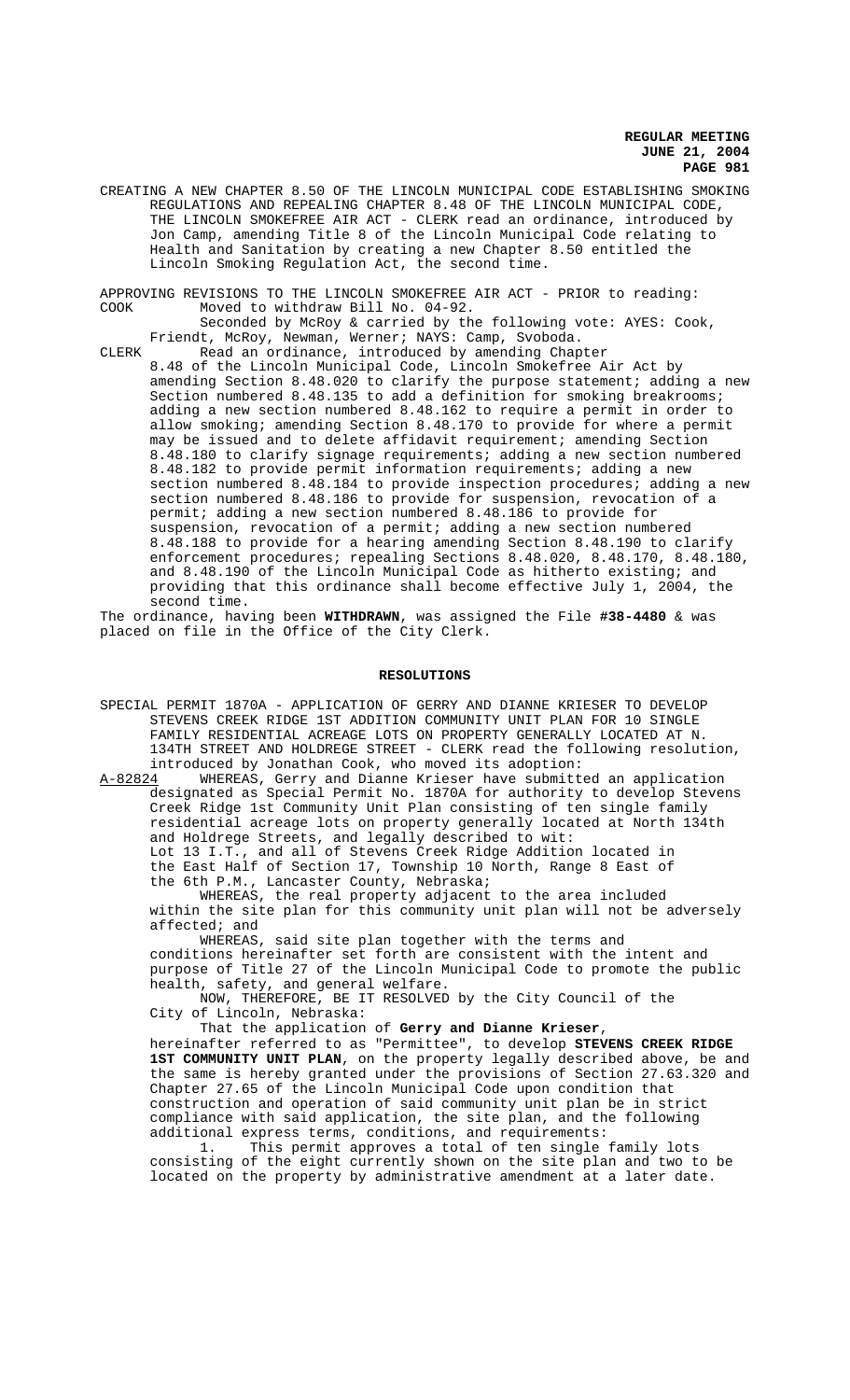CREATING A NEW CHAPTER 8.50 OF THE LINCOLN MUNICIPAL CODE ESTABLISHING SMOKING REGULATIONS AND REPEALING CHAPTER 8.48 OF THE LINCOLN MUNICIPAL CODE, THE LINCOLN SMOKEFREE AIR ACT - CLERK read an ordinance, introduced by Jon Camp, amending Title 8 of the Lincoln Municipal Code relating to Health and Sanitation by creating a new Chapter 8.50 entitled the Lincoln Smoking Regulation Act, the second time.

APPROVING REVISIONS TO THE LINCOLN SMOKEFREE AIR ACT - PRIOR to reading:<br>COOK Moved to withdraw Bill No. 04-92. Moved to withdraw Bill No. 04-92.

Seconded by McRoy & carried by the following vote: AYES: Cook, Friendt, McRoy, Newman, Werner; NAYS: Camp, Svoboda.

CLERK Read an ordinance, introduced by amending Chapter 8.48 of the Lincoln Municipal Code, Lincoln Smokefree Air Act by amending Section 8.48.020 to clarify the purpose statement; adding a new Section numbered 8.48.135 to add a definition for smoking breakrooms; adding a new section numbered 8.48.162 to require a permit in order to allow smoking; amending Section 8.48.170 to provide for where a permit may be issued and to delete affidavit requirement; amending Section 8.48.180 to clarify signage requirements; adding a new section numbered 8.48.182 to provide permit information requirements; adding a new section numbered 8.48.184 to provide inspection procedures; adding a new section numbered 8.48.186 to provide for suspension, revocation of a permit; adding a new section numbered 8.48.186 to provide for suspension, revocation of a permit; adding a new section numbered 8.48.188 to provide for a hearing amending Section 8.48.190 to clarify enforcement procedures; repealing Sections 8.48.020, 8.48.170, 8.48.180, and 8.48.190 of the Lincoln Municipal Code as hitherto existing; and providing that this ordinance shall become effective July 1, 2004, the second time.

The ordinance, having been **WITHDRAWN**, was assigned the File **#38-4480** & was placed on file in the Office of the City Clerk.

#### **RESOLUTIONS**

- SPECIAL PERMIT 1870A APPLICATION OF GERRY AND DIANNE KRIESER TO DEVELOP STEVENS CREEK RIDGE 1ST ADDITION COMMUNITY UNIT PLAN FOR 10 SINGLE FAMILY RESIDENTIAL ACREAGE LOTS ON PROPERTY GENERALLY LOCATED AT N. 134TH STREET AND HOLDREGE STREET - CLERK read the following resolution, introduced by Jonathan Cook, who moved its adoption:<br>A-82824 WHEREAS, Gerry and Dianne Krieser have submitt
- WHEREAS, Gerry and Dianne Krieser have submitted an application designated as Special Permit No. 1870A for authority to develop Stevens Creek Ridge 1st Community Unit Plan consisting of ten single family residential acreage lots on property generally located at North 134th and Holdrege Streets, and legally described to wit: Lot 13 I.T., and all of Stevens Creek Ridge Addition located in the East Half of Section 17, Township 10 North, Range 8 East of the 6th P.M., Lancaster County, Nebraska;

WHEREAS, the real property adjacent to the area included within the site plan for this community unit plan will not be adversely affected; and

WHEREAS, said site plan together with the terms and conditions hereinafter set forth are consistent with the intent and purpose of Title 27 of the Lincoln Municipal Code to promote the public health, safety, and general welfare.

NOW, THEREFORE, BE IT RESOLVED by the City Council of the City of Lincoln, Nebraska:

That the application of **Gerry and Dianne Krieser**, hereinafter referred to as "Permittee", to develop **STEVENS CREEK RIDGE 1ST COMMUNITY UNIT PLAN**, on the property legally described above, be and the same is hereby granted under the provisions of Section 27.63.320 and Chapter 27.65 of the Lincoln Municipal Code upon condition that construction and operation of said community unit plan be in strict compliance with said application, the site plan, and the following additional express terms, conditions, and requirements:

1. This permit approves a total of ten single family lots consisting of the eight currently shown on the site plan and two to be located on the property by administrative amendment at a later date.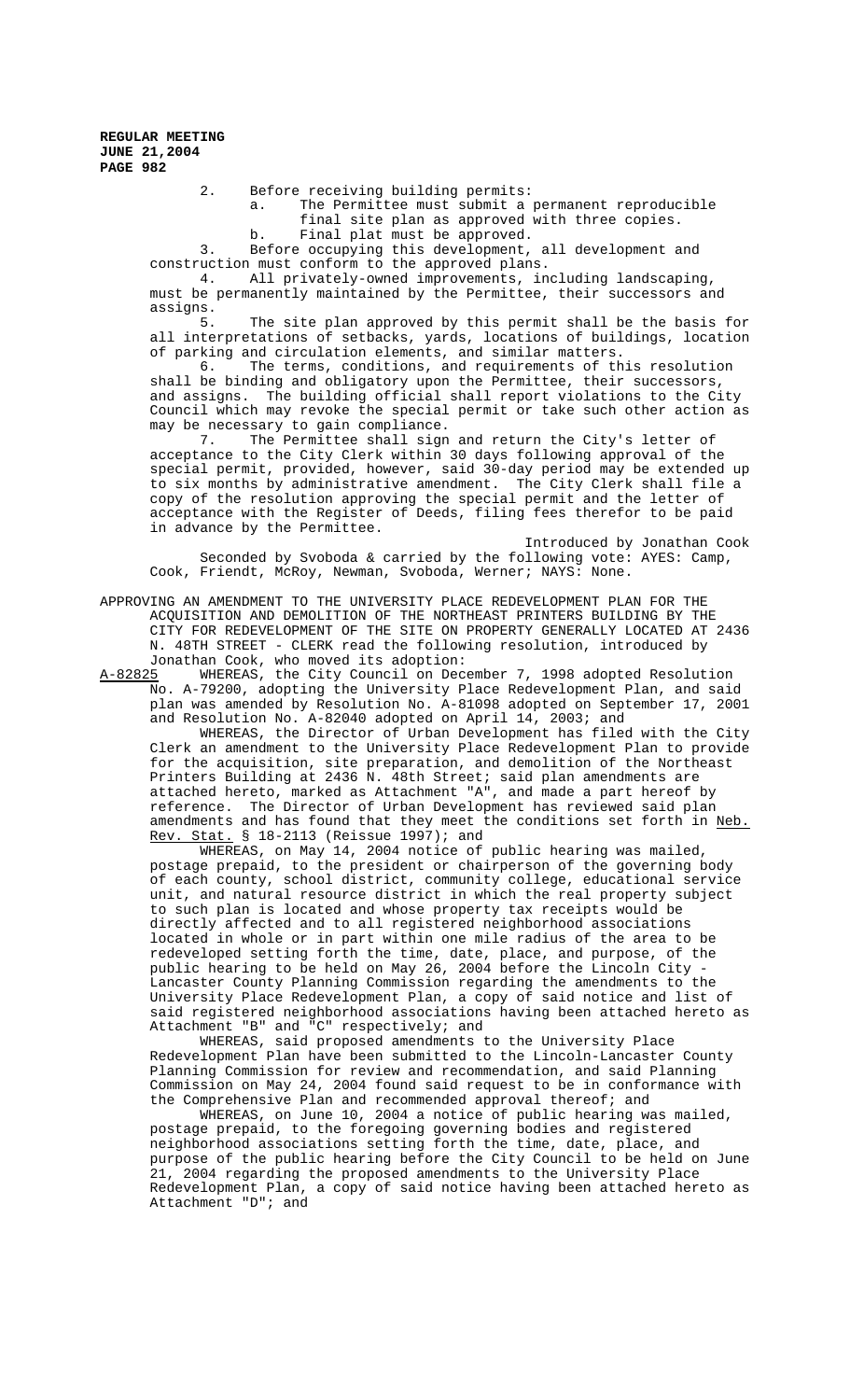2. Before receiving building permits:

a. The Permittee must submit a permanent reproducible final site plan as approved with three copies. b. Final plat must be approved.

3. Before occupying this development, all development and construction must conform to the approved plans.

4. All privately-owned improvements, including landscaping, must be permanently maintained by the Permittee, their successors and assigns.<br>5.

The site plan approved by this permit shall be the basis for all interpretations of setbacks, yards, locations of buildings, location

of parking and circulation elements, and similar matters.<br>6. The terms, conditions, and requirements of the The terms, conditions, and requirements of this resolution shall be binding and obligatory upon the Permittee, their successors, and assigns. The building official shall report violations to the City Council which may revoke the special permit or take such other action as may be necessary to gain compliance.

7. The Permittee shall sign and return the City's letter of acceptance to the City Clerk within 30 days following approval of the special permit, provided, however, said 30-day period may be extended up to six months by administrative amendment. The City Clerk shall file a copy of the resolution approving the special permit and the letter of acceptance with the Register of Deeds, filing fees therefor to be paid in advance by the Permittee.

Introduced by Jonathan Cook Seconded by Svoboda & carried by the following vote: AYES: Camp, Cook, Friendt, McRoy, Newman, Svoboda, Werner; NAYS: None.

APPROVING AN AMENDMENT TO THE UNIVERSITY PLACE REDEVELOPMENT PLAN FOR THE ACQUISITION AND DEMOLITION OF THE NORTHEAST PRINTERS BUILDING BY THE CITY FOR REDEVELOPMENT OF THE SITE ON PROPERTY GENERALLY LOCATED AT 2436 N. 48TH STREET - CLERK read the following resolution, introduced by

Jonathan Cook, who moved its adoption:<br>A-82825 WHEREAS, the City Council on Dec WHEREAS, the City Council on December 7, 1998 adopted Resolution No. A-79200, adopting the University Place Redevelopment Plan, and said plan was amended by Resolution No. A-81098 adopted on September 17, 2001 and Resolution No. A-82040 adopted on April 14, 2003; and

WHEREAS, the Director of Urban Development has filed with the City Clerk an amendment to the University Place Redevelopment Plan to provide for the acquisition, site preparation, and demolition of the Northeast Printers Building at 2436 N. 48th Street; said plan amendments are attached hereto, marked as Attachment "A", and made a part hereof by reference. The Director of Urban Development has reviewed said plan amendments and has found that they meet the conditions set forth in Neb. Rev. Stat. § 18-2113 (Reissue 1997); and

WHEREAS, on May 14, 2004 notice of public hearing was mailed, postage prepaid, to the president or chairperson of the governing body of each county, school district, community college, educational service unit, and natural resource district in which the real property subject to such plan is located and whose property tax receipts would be directly affected and to all registered neighborhood associations located in whole or in part within one mile radius of the area to be redeveloped setting forth the time, date, place, and purpose, of the public hearing to be held on May 26, 2004 before the Lincoln City - Lancaster County Planning Commission regarding the amendments to the University Place Redevelopment Plan, a copy of said notice and list of said registered neighborhood associations having been attached hereto as Attachment "B" and "C" respectively; and

WHEREAS, said proposed amendments to the University Place Redevelopment Plan have been submitted to the Lincoln-Lancaster County Planning Commission for review and recommendation, and said Planning Commission on May 24, 2004 found said request to be in conformance with the Comprehensive Plan and recommended approval thereof; and

WHEREAS, on June 10, 2004 a notice of public hearing was mailed, postage prepaid, to the foregoing governing bodies and registered neighborhood associations setting forth the time, date, place, and purpose of the public hearing before the City Council to be held on June 21, 2004 regarding the proposed amendments to the University Place Redevelopment Plan, a copy of said notice having been attached hereto as Attachment "D"; and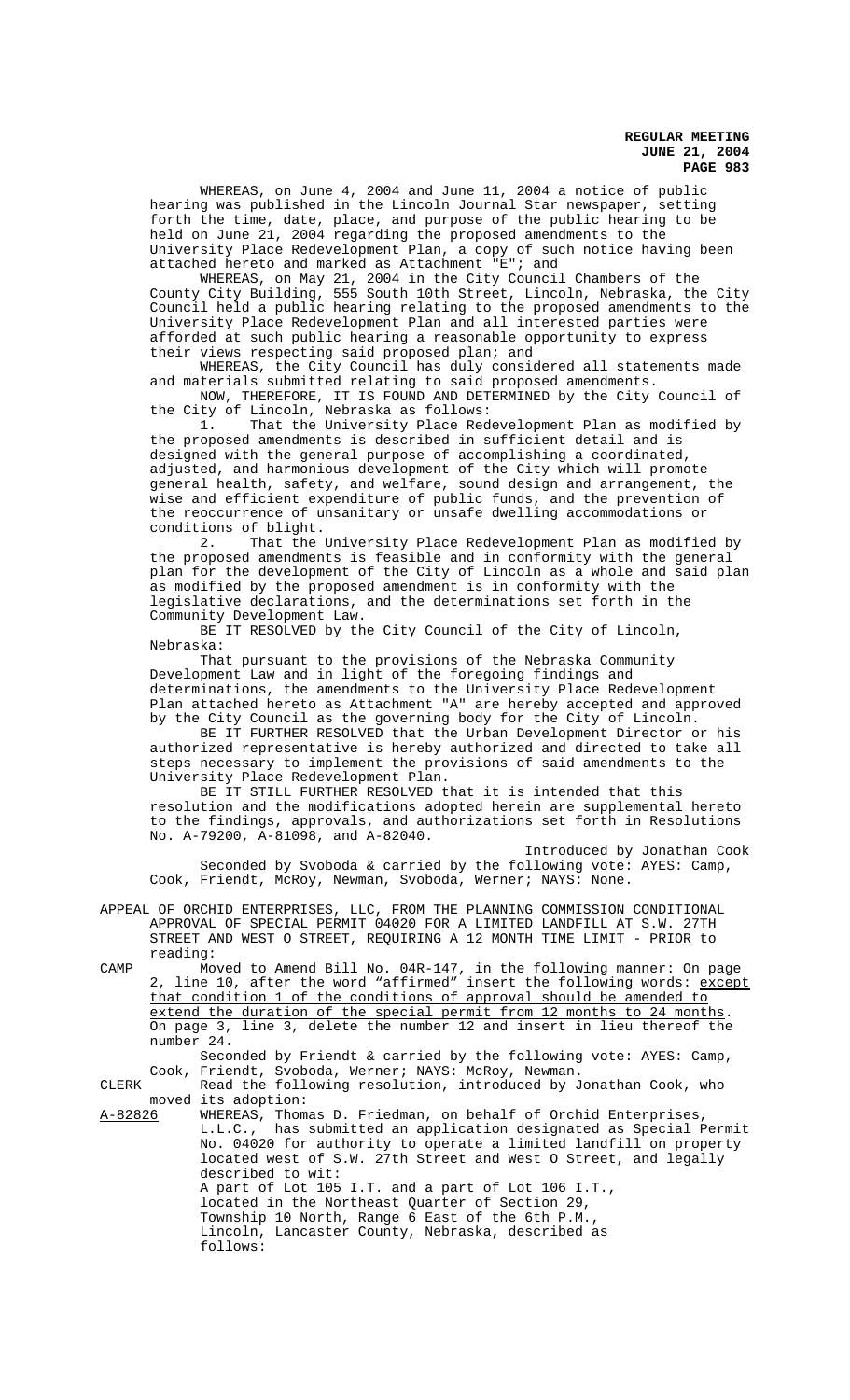WHEREAS, on June 4, 2004 and June 11, 2004 a notice of public hearing was published in the Lincoln Journal Star newspaper, setting forth the time, date, place, and purpose of the public hearing to be held on June 21, 2004 regarding the proposed amendments to the University Place Redevelopment Plan, a copy of such notice having been attached hereto and marked as Attachment "E"; and

WHEREAS, on May 21, 2004 in the City Council Chambers of the County City Building, 555 South 10th Street, Lincoln, Nebraska, the City Council held a public hearing relating to the proposed amendments to the University Place Redevelopment Plan and all interested parties were afforded at such public hearing a reasonable opportunity to express their views respecting said proposed plan; and

WHEREAS, the City Council has duly considered all statements made and materials submitted relating to said proposed amendments.

NOW, THEREFORE, IT IS FOUND AND DETERMINED by the City Council of the City of Lincoln, Nebraska as follows:

1. That the University Place Redevelopment Plan as modified by the proposed amendments is described in sufficient detail and is designed with the general purpose of accomplishing a coordinated, adjusted, and harmonious development of the City which will promote general health, safety, and welfare, sound design and arrangement, the wise and efficient expenditure of public funds, and the prevention of the reoccurrence of unsanitary or unsafe dwelling accommodations or conditions of blight.

2. That the University Place Redevelopment Plan as modified by the proposed amendments is feasible and in conformity with the general plan for the development of the City of Lincoln as a whole and said plan as modified by the proposed amendment is in conformity with the legislative declarations, and the determinations set forth in the Community Development Law.

BE IT RESOLVED by the City Council of the City of Lincoln, Nebraska:

That pursuant to the provisions of the Nebraska Community Development Law and in light of the foregoing findings and determinations, the amendments to the University Place Redevelopment Plan attached hereto as Attachment "A" are hereby accepted and approved by the City Council as the governing body for the City of Lincoln.

BE IT FURTHER RESOLVED that the Urban Development Director or his authorized representative is hereby authorized and directed to take all steps necessary to implement the provisions of said amendments to the University Place Redevelopment Plan.

BE IT STILL FURTHER RESOLVED that it is intended that this resolution and the modifications adopted herein are supplemental hereto to the findings, approvals, and authorizations set forth in Resolutions No. A-79200, A-81098, and A-82040.

Introduced by Jonathan Cook Seconded by Svoboda & carried by the following vote: AYES: Camp, Cook, Friendt, McRoy, Newman, Svoboda, Werner; NAYS: None.

APPEAL OF ORCHID ENTERPRISES, LLC, FROM THE PLANNING COMMISSION CONDITIONAL APPROVAL OF SPECIAL PERMIT 04020 FOR A LIMITED LANDFILL AT S.W. 27TH STREET AND WEST O STREET, REQUIRING A 12 MONTH TIME LIMIT - PRIOR to reading:

CAMP Moved to Amend Bill No. 04R-147, in the following manner: On page 2, line 10, after the word "affirmed" insert the following words: except that condition 1 of the conditions of approval should be amended to extend the duration of the special permit from 12 months to 24 months. On page 3, line 3, delete the number 12 and insert in lieu thereof the number 24.

Seconded by Friendt & carried by the following vote: AYES: Camp, Cook, Friendt, Svoboda, Werner; NAYS: McRoy, Newman.

CLERK Read the following resolution, introduced by Jonathan Cook, who moved its adoption:

A-82826 WHEREAS, Thomas D. Friedman, on behalf of Orchid Enterprises, L.L.C., has submitted an application designated as Special Permit No. 04020 for authority to operate a limited landfill on property located west of S.W. 27th Street and West O Street, and legally described to wit: A part of Lot 105 I.T. and a part of Lot 106 I.T. located in the Northeast Quarter of Section 29,

Township 10 North, Range 6 East of the 6th P.M., Lincoln, Lancaster County, Nebraska, described as follows: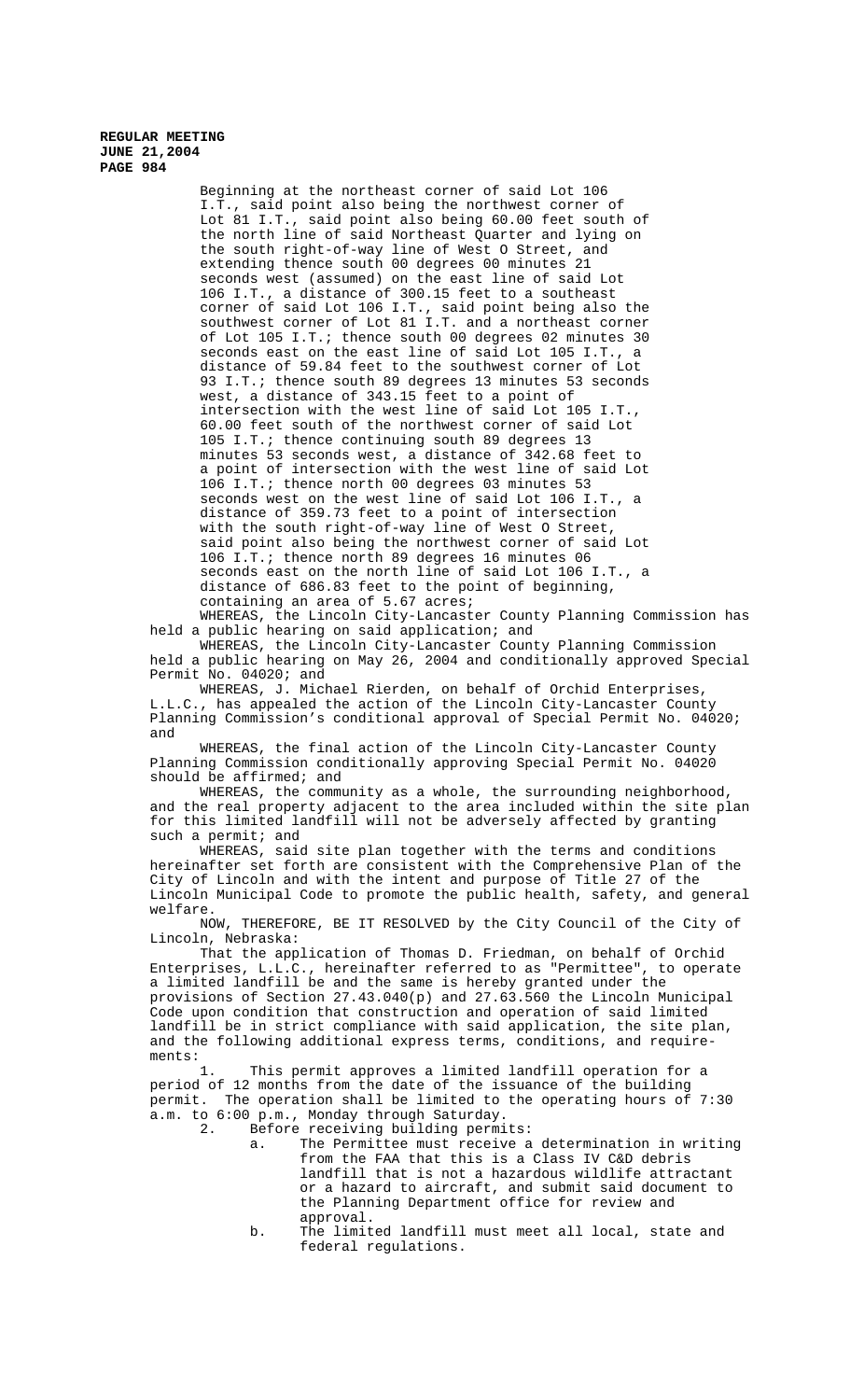Beginning at the northeast corner of said Lot 106 I.T., said point also being the northwest corner of Lot 81 I.T., said point also being 60.00 feet south of the north line of said Northeast Quarter and lying on the south right-of-way line of West O Street, and extending thence south 00 degrees 00 minutes 21 seconds west (assumed) on the east line of said Lot 106 I.T., a distance of 300.15 feet to a southeast corner of said Lot 106 I.T., said point being also the southwest corner of Lot 81 I.T. and a northeast corner of Lot 105 I.T.; thence south 00 degrees 02 minutes 30 seconds east on the east line of said Lot 105 I.T., a distance of 59.84 feet to the southwest corner of Lot 93 I.T.; thence south 89 degrees 13 minutes 53 seconds west, a distance of 343.15 feet to a point of intersection with the west line of said Lot 105 I.T., 60.00 feet south of the northwest corner of said Lot 105 I.T.; thence continuing south 89 degrees 13 minutes 53 seconds west, a distance of 342.68 feet to a point of intersection with the west line of said Lot 106 I.T.; thence north 00 degrees 03 minutes 53 seconds west on the west line of said Lot 106 I.T., a distance of 359.73 feet to a point of intersection with the south right-of-way line of West O Street, said point also being the northwest corner of said Lot 106 I.T.; thence north 89 degrees 16 minutes 06 seconds east on the north line of said Lot 106 I.T., a distance of 686.83 feet to the point of beginning, containing an area of 5.67 acres;

WHEREAS, the Lincoln City-Lancaster County Planning Commission has held a public hearing on said application; and

WHEREAS, the Lincoln City-Lancaster County Planning Commission held a public hearing on May 26, 2004 and conditionally approved Special Permit No. 04020; and

WHEREAS, J. Michael Rierden, on behalf of Orchid Enterprises, L.L.C., has appealed the action of the Lincoln City-Lancaster County Planning Commission's conditional approval of Special Permit No. 04020; and

WHEREAS, the final action of the Lincoln City-Lancaster County Planning Commission conditionally approving Special Permit No. 04020 should be affirmed; and

WHEREAS, the community as a whole, the surrounding neighborhood, and the real property adjacent to the area included within the site plan for this limited landfill will not be adversely affected by granting such a permit; and

WHEREAS, said site plan together with the terms and conditions hereinafter set forth are consistent with the Comprehensive Plan of the City of Lincoln and with the intent and purpose of Title 27 of the Lincoln Municipal Code to promote the public health, safety, and general welfare.

NOW, THEREFORE, BE IT RESOLVED by the City Council of the City of Lincoln, Nebraska:

That the application of Thomas D. Friedman, on behalf of Orchid Enterprises, L.L.C., hereinafter referred to as "Permittee", to operate a limited landfill be and the same is hereby granted under the provisions of Section 27.43.040(p) and 27.63.560 the Lincoln Municipal Code upon condition that construction and operation of said limited landfill be in strict compliance with said application, the site plan, and the following additional express terms, conditions, and requirements:

1. This permit approves a limited landfill operation for a period of 12 months from the date of the issuance of the building permit. The operation shall be limited to the operating hours of 7:30 a.m. to 6:00 p.m., Monday through Saturday.

Before receiving building permits:

- a. The Permittee must receive a determination in writing from the FAA that this is a Class IV C&D debris landfill that is not a hazardous wildlife attractant or a hazard to aircraft, and submit said document to the Planning Department office for review and approval.
- b. The limited landfill must meet all local, state and federal regulations.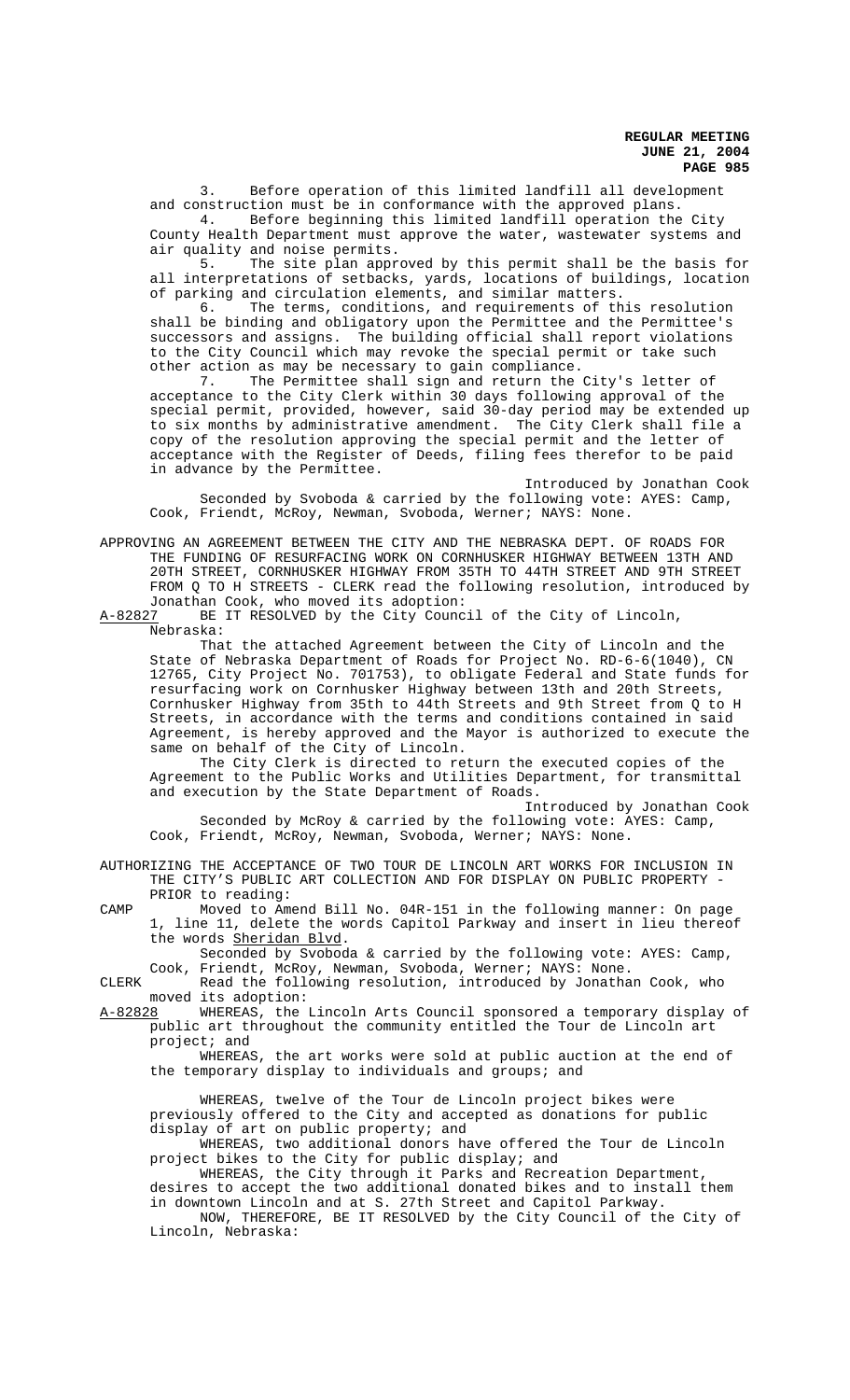3. Before operation of this limited landfill all development and construction must be in conformance with the approved plans.

4. Before beginning this limited landfill operation the City County Health Department must approve the water, wastewater systems and air quality and noise permits.<br>5. The site plan appr

The site plan approved by this permit shall be the basis for all interpretations of setbacks, yards, locations of buildings, location of parking and circulation elements, and similar matters.<br>6. The terms, conditions, and requirements of the

The terms, conditions, and requirements of this resolution shall be binding and obligatory upon the Permittee and the Permittee's successors and assigns. The building official shall report violations to the City Council which may revoke the special permit or take such other action as may be necessary to gain compliance.

7. The Permittee shall sign and return the City's letter of acceptance to the City Clerk within 30 days following approval of the special permit, provided, however, said 30-day period may be extended up to six months by administrative amendment. The City Clerk shall file a copy of the resolution approving the special permit and the letter of acceptance with the Register of Deeds, filing fees therefor to be paid in advance by the Permittee.

Introduced by Jonathan Cook Seconded by Svoboda & carried by the following vote: AYES: Camp, Cook, Friendt, McRoy, Newman, Svoboda, Werner; NAYS: None.

APPROVING AN AGREEMENT BETWEEN THE CITY AND THE NEBRASKA DEPT. OF ROADS FOR THE FUNDING OF RESURFACING WORK ON CORNHUSKER HIGHWAY BETWEEN 13TH AND 20TH STREET, CORNHUSKER HIGHWAY FROM 35TH TO 44TH STREET AND 9TH STREET FROM Q TO H STREETS - CLERK read the following resolution, introduced by Jonathan Cook, who moved its adoption:<br>A-82827 BE IT RESOLVED by the City Counc

BE IT RESOLVED by the City Council of the City of Lincoln, Nebraska:

That the attached Agreement between the City of Lincoln and the State of Nebraska Department of Roads for Project No. RD-6-6(1040), CN 12765, City Project No. 701753), to obligate Federal and State funds for resurfacing work on Cornhusker Highway between 13th and 20th Streets, Cornhusker Highway from 35th to 44th Streets and 9th Street from Q to H Streets, in accordance with the terms and conditions contained in said Agreement, is hereby approved and the Mayor is authorized to execute the same on behalf of the City of Lincoln.

The City Clerk is directed to return the executed copies of the Agreement to the Public Works and Utilities Department, for transmittal and execution by the State Department of Roads.

Introduced by Jonathan Cook Seconded by McRoy & carried by the following vote: AYES: Camp, Cook, Friendt, McRoy, Newman, Svoboda, Werner; NAYS: None.

AUTHORIZING THE ACCEPTANCE OF TWO TOUR DE LINCOLN ART WORKS FOR INCLUSION IN THE CITY'S PUBLIC ART COLLECTION AND FOR DISPLAY ON PUBLIC PROPERTY - PRIOR to reading:

CAMP Moved to Amend Bill No. 04R-151 in the following manner: On page 1, line 11, delete the words Capitol Parkway and insert in lieu thereof the words Sheridan Blvd.

Seconded by Svoboda & carried by the following vote: AYES: Camp, Cook, Friendt, McRoy, Newman, Svoboda, Werner; NAYS: None.

CLERK Read the following resolution, introduced by Jonathan Cook, who moved its adoption:<br>A-82828 WHEREAS, the

WHEREAS, the Lincoln Arts Council sponsored a temporary display of public art throughout the community entitled the Tour de Lincoln art project; and

WHEREAS, the art works were sold at public auction at the end of the temporary display to individuals and groups; and

WHEREAS, twelve of the Tour de Lincoln project bikes were previously offered to the City and accepted as donations for public display of art on public property; and

WHEREAS, two additional donors have offered the Tour de Lincoln project bikes to the City for public display; and

WHEREAS, the City through it Parks and Recreation Department, desires to accept the two additional donated bikes and to install them in downtown Lincoln and at S. 27th Street and Capitol Parkway.

NOW, THEREFORE, BE IT RESOLVED by the City Council of the City of Lincoln, Nebraska: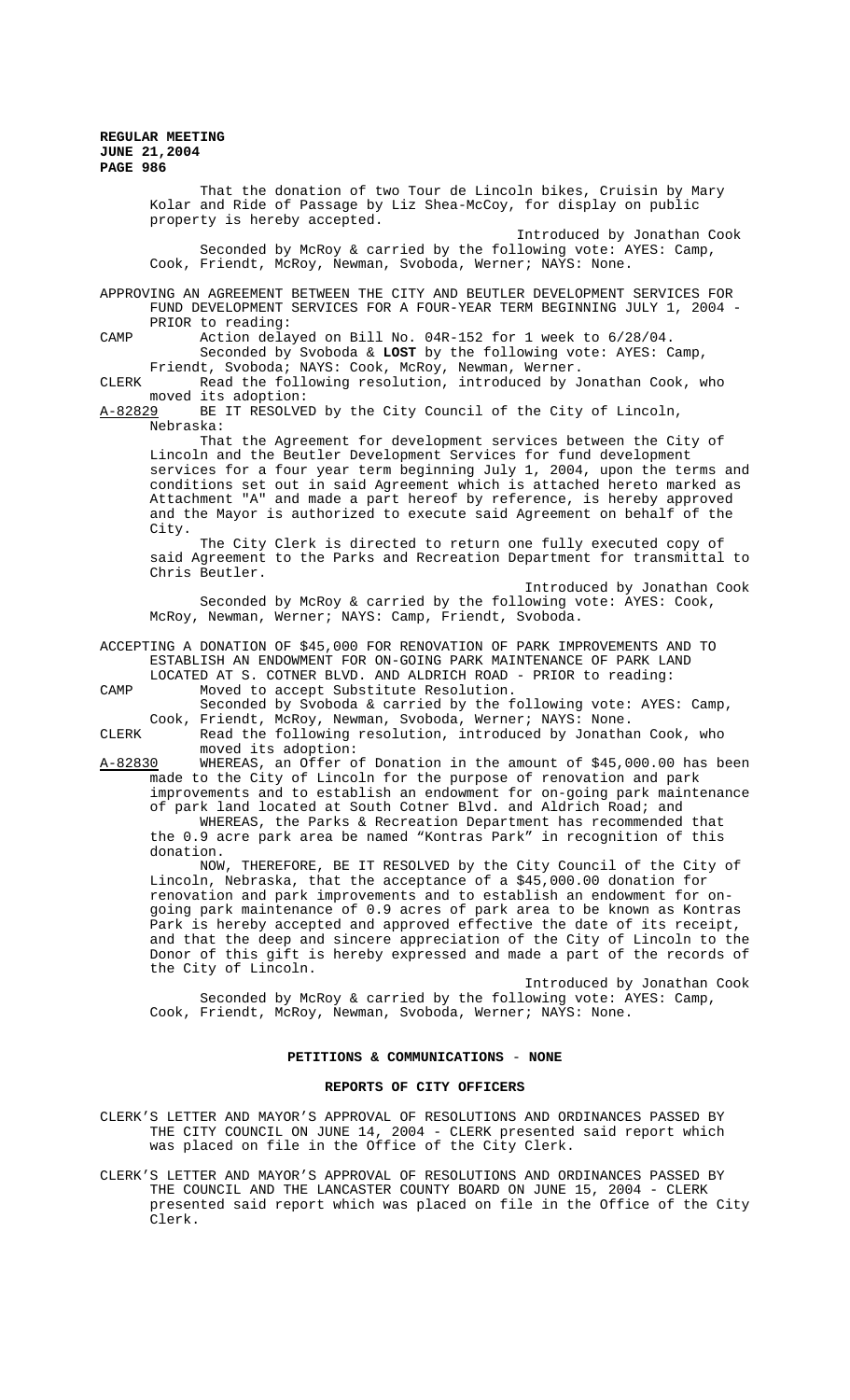That the donation of two Tour de Lincoln bikes, Cruisin by Mary Kolar and Ride of Passage by Liz Shea-McCoy, for display on public property is hereby accepted.

Introduced by Jonathan Cook Seconded by McRoy & carried by the following vote: AYES: Camp, Cook, Friendt, McRoy, Newman, Svoboda, Werner; NAYS: None.

APPROVING AN AGREEMENT BETWEEN THE CITY AND BEUTLER DEVELOPMENT SERVICES FOR FUND DEVELOPMENT SERVICES FOR A FOUR-YEAR TERM BEGINNING JULY 1, 2004 - PRIOR to reading:

CAMP Action delayed on Bill No. 04R-152 for 1 week to 6/28/04. Seconded by Svoboda & **LOST** by the following vote: AYES: Camp, Friendt, Svoboda; NAYS: Cook, McRoy, Newman, Werner.

CLERK Read the following resolution, introduced by Jonathan Cook, who moved its adoption:<br>A-82829 BE IT RESOLVE

BE IT RESOLVED by the City Council of the City of Lincoln, Nebraska:

That the Agreement for development services between the City of Lincoln and the Beutler Development Services for fund development services for a four year term beginning July 1, 2004, upon the terms and conditions set out in said Agreement which is attached hereto marked as Attachment "A" and made a part hereof by reference, is hereby approved and the Mayor is authorized to execute said Agreement on behalf of the City.

The City Clerk is directed to return one fully executed copy of said Agreement to the Parks and Recreation Department for transmittal to Chris Beutler.

Introduced by Jonathan Cook Seconded by McRoy & carried by the following vote: AYES: Cook, McRoy, Newman, Werner; NAYS: Camp, Friendt, Svoboda.

### ACCEPTING A DONATION OF \$45,000 FOR RENOVATION OF PARK IMPROVEMENTS AND TO ESTABLISH AN ENDOWMENT FOR ON-GOING PARK MAINTENANCE OF PARK LAND LOCATED AT S. COTNER BLVD. AND ALDRICH ROAD - PRIOR to reading:

CAMP Moved to accept Substitute Resolution.

Seconded by Svoboda & carried by the following vote: AYES: Camp, Cook, Friendt, McRoy, Newman, Svoboda, Werner; NAYS: None.

CLERK Read the following resolution, introduced by Jonathan Cook, who moved its adoption:

A-82830 WHEREAS, an Offer of Donation in the amount of \$45,000.00 has been made to the City of Lincoln for the purpose of renovation and park improvements and to establish an endowment for on-going park maintenance of park land located at South Cotner Blvd. and Aldrich Road; and

WHEREAS, the Parks & Recreation Department has recommended that the 0.9 acre park area be named "Kontras Park" in recognition of this donation.

NOW, THEREFORE, BE IT RESOLVED by the City Council of the City of Lincoln, Nebraska, that the acceptance of a \$45,000.00 donation for renovation and park improvements and to establish an endowment for ongoing park maintenance of 0.9 acres of park area to be known as Kontras Park is hereby accepted and approved effective the date of its receipt, and that the deep and sincere appreciation of the City of Lincoln to the Donor of this gift is hereby expressed and made a part of the records of the City of Lincoln.

Introduced by Jonathan Cook Seconded by McRoy & carried by the following vote: AYES: Camp, Cook, Friendt, McRoy, Newman, Svoboda, Werner; NAYS: None.

### **PETITIONS & COMMUNICATIONS** - **NONE**

#### **REPORTS OF CITY OFFICERS**

- CLERK'S LETTER AND MAYOR'S APPROVAL OF RESOLUTIONS AND ORDINANCES PASSED BY THE CITY COUNCIL ON JUNE 14, 2004 - CLERK presented said report which was placed on file in the Office of the City Clerk.
- CLERK'S LETTER AND MAYOR'S APPROVAL OF RESOLUTIONS AND ORDINANCES PASSED BY THE COUNCIL AND THE LANCASTER COUNTY BOARD ON JUNE 15, 2004 - CLERK presented said report which was placed on file in the Office of the City Clerk.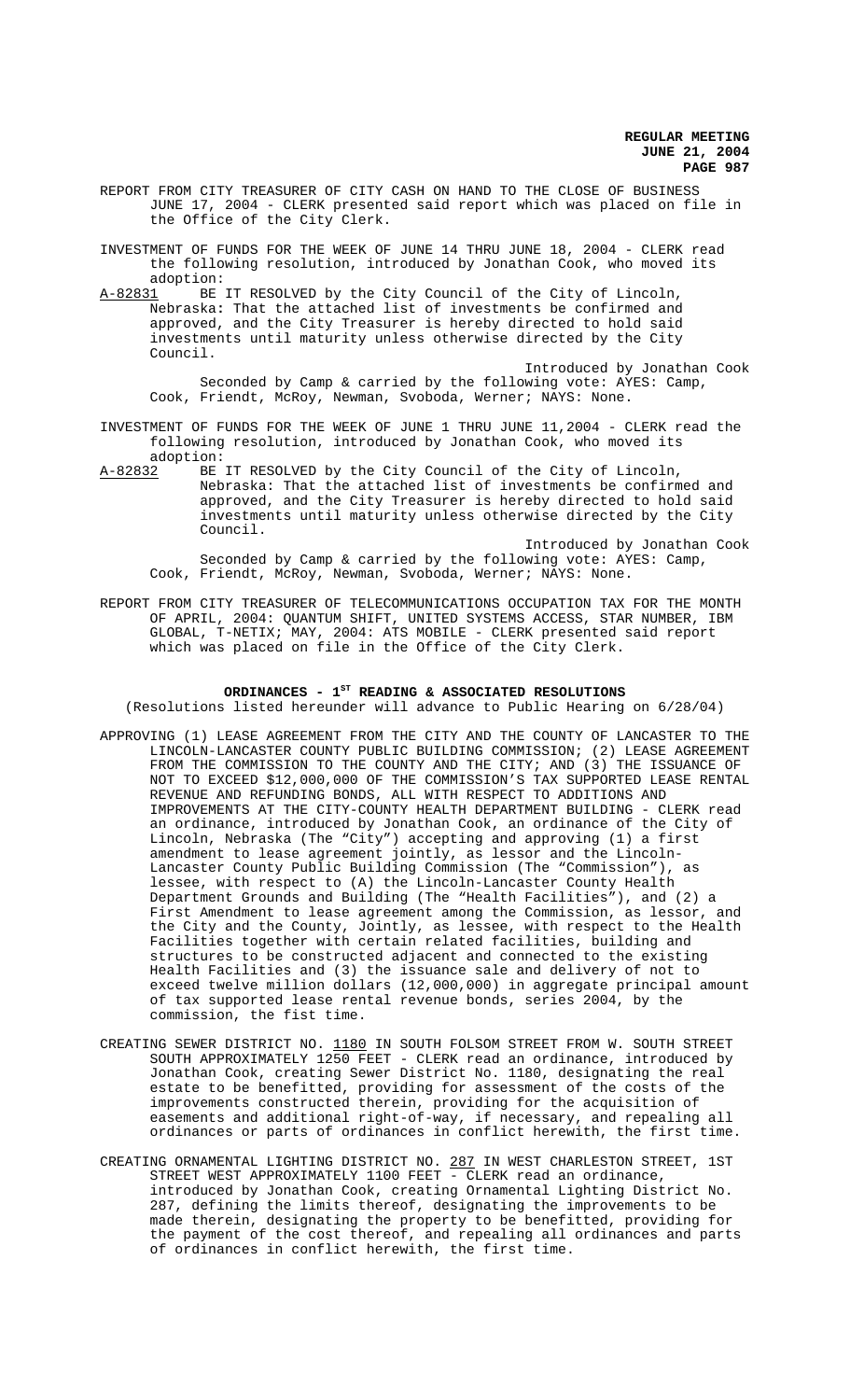REPORT FROM CITY TREASURER OF CITY CASH ON HAND TO THE CLOSE OF BUSINESS JUNE 17, 2004 - CLERK presented said report which was placed on file in the Office of the City Clerk.

INVESTMENT OF FUNDS FOR THE WEEK OF JUNE 14 THRU JUNE 18, 2004 - CLERK read the following resolution, introduced by Jonathan Cook, who moved its adoption:<br>A-82831 BE

BE IT RESOLVED by the City Council of the City of Lincoln, Nebraska**:** That the attached list of investments be confirmed and approved, and the City Treasurer is hereby directed to hold said investments until maturity unless otherwise directed by the City Council.

Introduced by Jonathan Cook Seconded by Camp & carried by the following vote: AYES: Camp, Cook, Friendt, McRoy, Newman, Svoboda, Werner; NAYS: None.

- INVESTMENT OF FUNDS FOR THE WEEK OF JUNE 1 THRU JUNE 11,2004 CLERK read the following resolution, introduced by Jonathan Cook, who moved its adoption:<br>A-82832 BE
- BE IT RESOLVED by the City Council of the City of Lincoln, Nebraska: That the attached list of investments be confirmed and approved, and the City Treasurer is hereby directed to hold said investments until maturity unless otherwise directed by the City Council.

Introduced by Jonathan Cook Seconded by Camp & carried by the following vote: AYES: Camp, Cook, Friendt, McRoy, Newman, Svoboda, Werner; NAYS: None.

REPORT FROM CITY TREASURER OF TELECOMMUNICATIONS OCCUPATION TAX FOR THE MONTH OF APRIL, 2004: QUANTUM SHIFT, UNITED SYSTEMS ACCESS, STAR NUMBER, IBM GLOBAL, T-NETIX; MAY, 2004: ATS MOBILE - CLERK presented said report which was placed on file in the Office of the City Clerk.

#### ORDINANCES -  $1^{ST}$  READING & ASSOCIATED RESOLUTIONS

(Resolutions listed hereunder will advance to Public Hearing on 6/28/04)

- APPROVING (1) LEASE AGREEMENT FROM THE CITY AND THE COUNTY OF LANCASTER TO THE LINCOLN-LANCASTER COUNTY PUBLIC BUILDING COMMISSION; (2) LEASE AGREEMENT FROM THE COMMISSION TO THE COUNTY AND THE CITY; AND (3) THE ISSUANCE OF NOT TO EXCEED \$12,000,000 OF THE COMMISSION'S TAX SUPPORTED LEASE RENTAL REVENUE AND REFUNDING BONDS, ALL WITH RESPECT TO ADDITIONS AND IMPROVEMENTS AT THE CITY-COUNTY HEALTH DEPARTMENT BUILDING - CLERK read an ordinance, introduced by Jonathan Cook, an ordinance of the City of Lincoln, Nebraska (The "City") accepting and approving (1) a first amendment to lease agreement jointly, as lessor and the Lincoln-Lancaster County Public Building Commission (The "Commission"), as lessee, with respect to (A) the Lincoln-Lancaster County Health Department Grounds and Building (The "Health Facilities"), and (2) a First Amendment to lease agreement among the Commission, as lessor, and the City and the County, Jointly, as lessee, with respect to the Health Facilities together with certain related facilities, building and structures to be constructed adjacent and connected to the existing Health Facilities and (3) the issuance sale and delivery of not to exceed twelve million dollars (12,000,000) in aggregate principal amount of tax supported lease rental revenue bonds, series 2004, by the commission, the fist time.
- CREATING SEWER DISTRICT NO. 1180 IN SOUTH FOLSOM STREET FROM W. SOUTH STREET SOUTH APPROXIMATELY 1250 FEET - CLERK read an ordinance, introduced by Jonathan Cook, creating Sewer District No. 1180, designating the real estate to be benefitted, providing for assessment of the costs of the improvements constructed therein, providing for the acquisition of easements and additional right-of-way, if necessary, and repealing all ordinances or parts of ordinances in conflict herewith, the first time.
- CREATING ORNAMENTAL LIGHTING DISTRICT NO. 287 IN WEST CHARLESTON STREET, 1ST STREET WEST APPROXIMATELY 1100 FEET - CLERK read an ordinance, introduced by Jonathan Cook, creating Ornamental Lighting District No. 287, defining the limits thereof, designating the improvements to be made therein, designating the property to be benefitted, providing for the payment of the cost thereof, and repealing all ordinances and parts of ordinances in conflict herewith, the first time.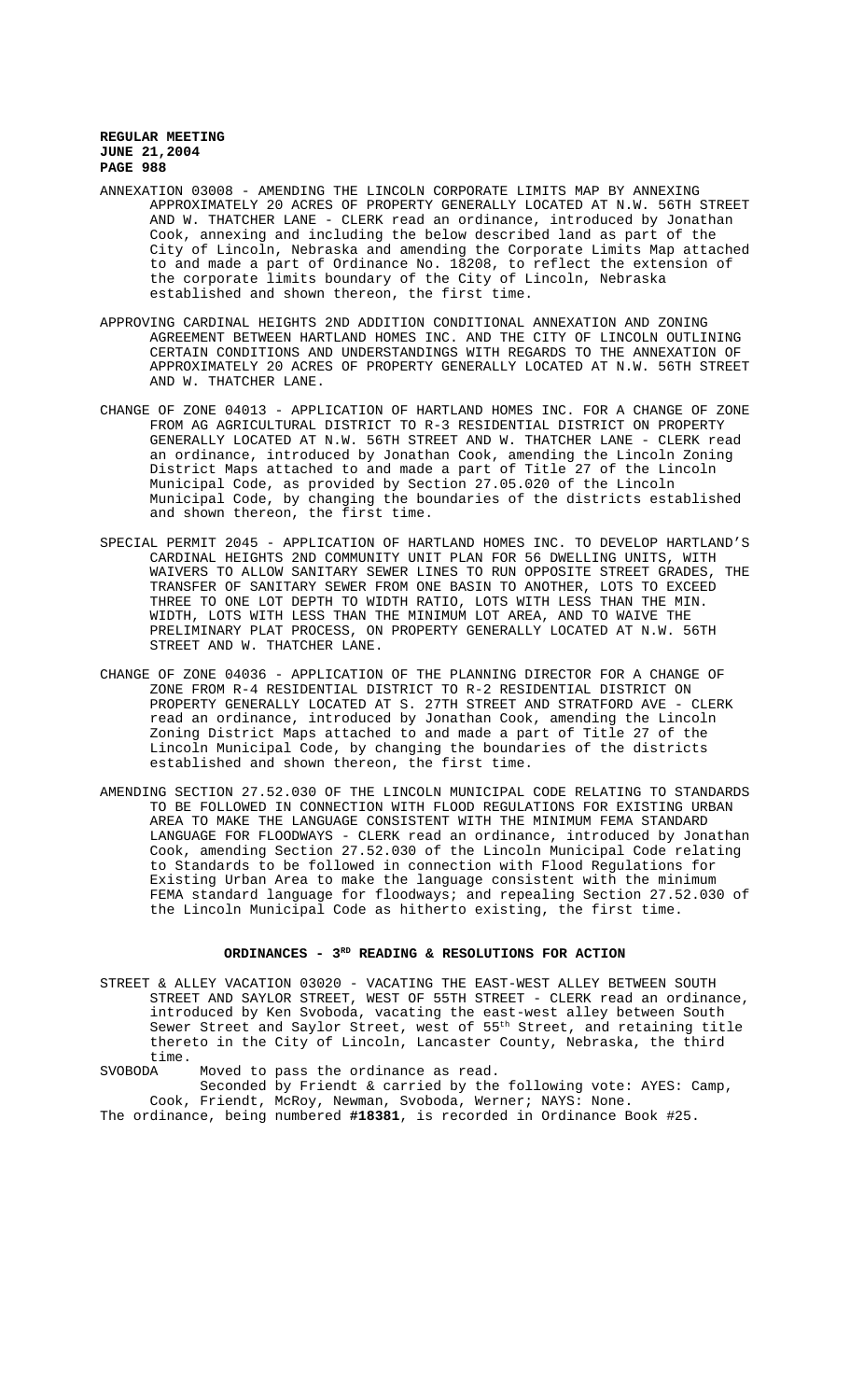- ANNEXATION 03008 AMENDING THE LINCOLN CORPORATE LIMITS MAP BY ANNEXING APPROXIMATELY 20 ACRES OF PROPERTY GENERALLY LOCATED AT N.W. 56TH STREET AND W. THATCHER LANE - CLERK read an ordinance, introduced by Jonathan Cook, annexing and including the below described land as part of the City of Lincoln, Nebraska and amending the Corporate Limits Map attached to and made a part of Ordinance No. 18208, to reflect the extension of the corporate limits boundary of the City of Lincoln, Nebraska established and shown thereon, the first time.
- APPROVING CARDINAL HEIGHTS 2ND ADDITION CONDITIONAL ANNEXATION AND ZONING AGREEMENT BETWEEN HARTLAND HOMES INC. AND THE CITY OF LINCOLN OUTLINING CERTAIN CONDITIONS AND UNDERSTANDINGS WITH REGARDS TO THE ANNEXATION OF APPROXIMATELY 20 ACRES OF PROPERTY GENERALLY LOCATED AT N.W. 56TH STREET AND W. THATCHER LANE.
- CHANGE OF ZONE 04013 APPLICATION OF HARTLAND HOMES INC. FOR A CHANGE OF ZONE FROM AG AGRICULTURAL DISTRICT TO R-3 RESIDENTIAL DISTRICT ON PROPERTY GENERALLY LOCATED AT N.W. 56TH STREET AND W. THATCHER LANE - CLERK read an ordinance, introduced by Jonathan Cook, amending the Lincoln Zoning District Maps attached to and made a part of Title 27 of the Lincoln Municipal Code, as provided by Section 27.05.020 of the Lincoln Municipal Code, by changing the boundaries of the districts established and shown thereon, the first time.
- SPECIAL PERMIT 2045 APPLICATION OF HARTLAND HOMES INC. TO DEVELOP HARTLAND'S CARDINAL HEIGHTS 2ND COMMUNITY UNIT PLAN FOR 56 DWELLING UNITS, WITH WAIVERS TO ALLOW SANITARY SEWER LINES TO RUN OPPOSITE STREET GRADES, THE TRANSFER OF SANITARY SEWER FROM ONE BASIN TO ANOTHER, LOTS TO EXCEED THREE TO ONE LOT DEPTH TO WIDTH RATIO, LOTS WITH LESS THAN THE MIN. WIDTH, LOTS WITH LESS THAN THE MINIMUM LOT AREA, AND TO WAIVE THE PRELIMINARY PLAT PROCESS, ON PROPERTY GENERALLY LOCATED AT N.W. 56TH STREET AND W. THATCHER LANE.
- CHANGE OF ZONE 04036 APPLICATION OF THE PLANNING DIRECTOR FOR A CHANGE OF ZONE FROM R-4 RESIDENTIAL DISTRICT TO R-2 RESIDENTIAL DISTRICT ON PROPERTY GENERALLY LOCATED AT S. 27TH STREET AND STRATFORD AVE - CLERK read an ordinance, introduced by Jonathan Cook, amending the Lincoln Zoning District Maps attached to and made a part of Title 27 of the Lincoln Municipal Code, by changing the boundaries of the districts established and shown thereon, the first time.
- AMENDING SECTION 27.52.030 OF THE LINCOLN MUNICIPAL CODE RELATING TO STANDARDS TO BE FOLLOWED IN CONNECTION WITH FLOOD REGULATIONS FOR EXISTING URBAN AREA TO MAKE THE LANGUAGE CONSISTENT WITH THE MINIMUM FEMA STANDARD LANGUAGE FOR FLOODWAYS - CLERK read an ordinance, introduced by Jonathan Cook, amending Section 27.52.030 of the Lincoln Municipal Code relating to Standards to be followed in connection with Flood Regulations for Existing Urban Area to make the language consistent with the minimum FEMA standard language for floodways; and repealing Section 27.52.030 of the Lincoln Municipal Code as hitherto existing, the first time.

# ORDINANCES - 3<sup>RD</sup> READING & RESOLUTIONS FOR ACTION

STREET & ALLEY VACATION 03020 - VACATING THE EAST-WEST ALLEY BETWEEN SOUTH STREET AND SAYLOR STREET, WEST OF 55TH STREET - CLERK read an ordinance, introduced by Ken Svoboda, vacating the east-west alley between South Sewer Street and Saylor Street, west of 55<sup>th</sup> Street, and retaining title thereto in the City of Lincoln, Lancaster County, Nebraska, the third time.<br>SVOBODA

Moved to pass the ordinance as read.

Seconded by Friendt & carried by the following vote: AYES: Camp, Cook, Friendt, McRoy, Newman, Svoboda, Werner; NAYS: None. The ordinance, being numbered **#18381**, is recorded in Ordinance Book #25.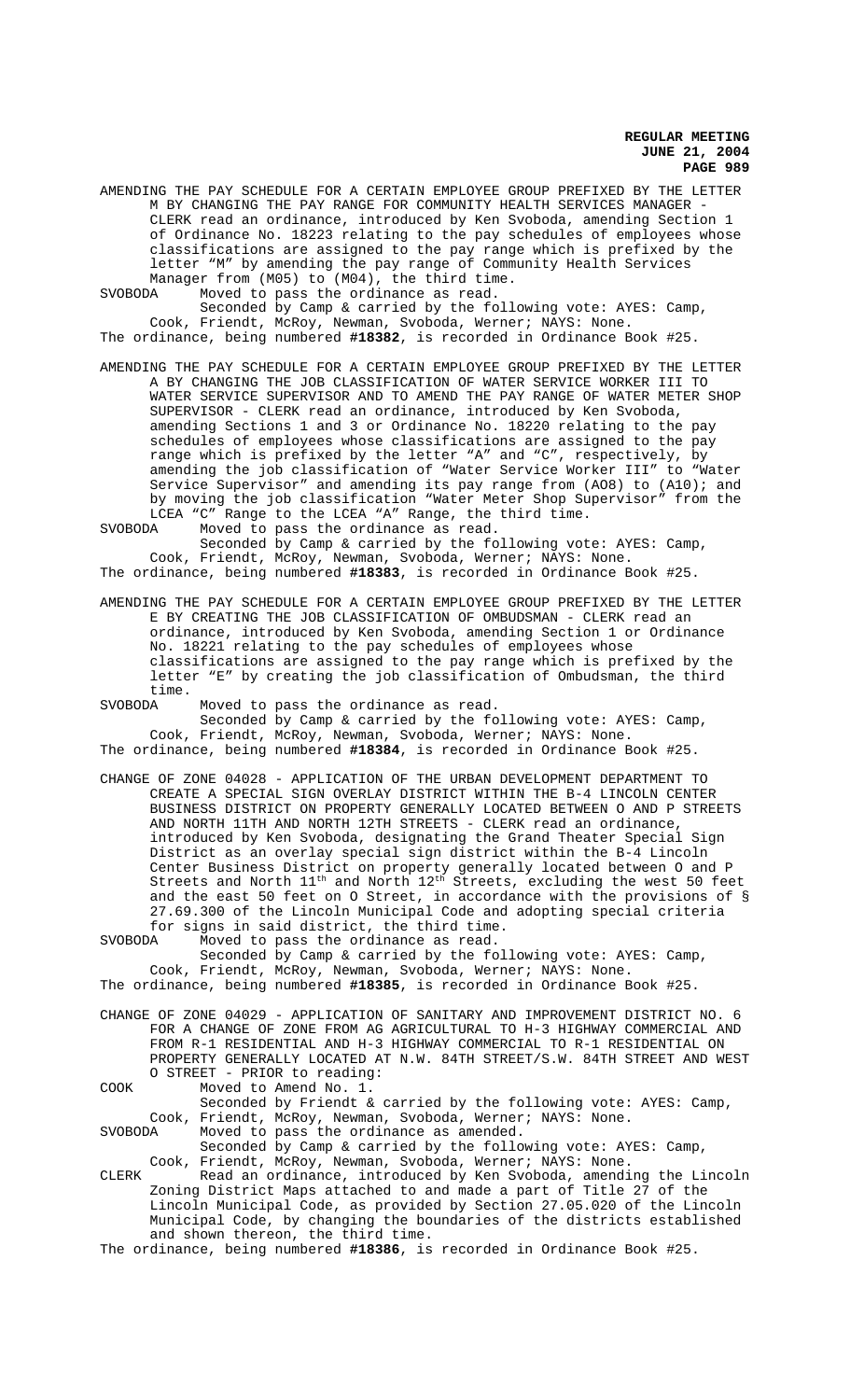AMENDING THE PAY SCHEDULE FOR A CERTAIN EMPLOYEE GROUP PREFIXED BY THE LETTER M BY CHANGING THE PAY RANGE FOR COMMUNITY HEALTH SERVICES MANAGER - CLERK read an ordinance, introduced by Ken Svoboda, amending Section 1 of Ordinance No. 18223 relating to the pay schedules of employees whose classifications are assigned to the pay range which is prefixed by the letter "M" by amending the pay range of Community Health Services Manager from (M05) to (M04), the third time.<br>SVOBODA Moved to pass the ordinance as read.

Moved to pass the ordinance as read.

Seconded by Camp & carried by the following vote: AYES: Camp, Cook, Friendt, McRoy, Newman, Svoboda, Werner; NAYS: None. The ordinance, being numbered **#18382**, is recorded in Ordinance Book #25.

AMENDING THE PAY SCHEDULE FOR A CERTAIN EMPLOYEE GROUP PREFIXED BY THE LETTER A BY CHANGING THE JOB CLASSIFICATION OF WATER SERVICE WORKER III TO WATER SERVICE SUPERVISOR AND TO AMEND THE PAY RANGE OF WATER METER SHOP SUPERVISOR - CLERK read an ordinance, introduced by Ken Svoboda, amending Sections 1 and 3 or Ordinance No. 18220 relating to the pay schedules of employees whose classifications are assigned to the pay range which is prefixed by the letter "A" and "C", respectively, by amending the job classification of "Water Service Worker III" to "Water Service Supervisor" and amending its pay range from (AO8) to (A10); and by moving the job classification "Water Meter Shop Supervisor" from the LCEA "C" Range to the LCEA "A" Range, the third time.

SVOBODA Moved to pass the ordinance as read. Seconded by Camp & carried by the following vote: AYES: Camp, Cook, Friendt, McRoy, Newman, Svoboda, Werner; NAYS: None.

The ordinance, being numbered **#18383**, is recorded in Ordinance Book #25.

AMENDING THE PAY SCHEDULE FOR A CERTAIN EMPLOYEE GROUP PREFIXED BY THE LETTER E BY CREATING THE JOB CLASSIFICATION OF OMBUDSMAN - CLERK read an ordinance, introduced by Ken Svoboda, amending Section 1 or Ordinance No. 18221 relating to the pay schedules of employees whose classifications are assigned to the pay range which is prefixed by the letter "E" by creating the job classification of Ombudsman, the third time.

SVOBODA Moved to pass the ordinance as read. Seconded by Camp & carried by the following vote: AYES: Camp, Cook, Friendt, McRoy, Newman, Svoboda, Werner; NAYS: None. The ordinance, being numbered **#18384**, is recorded in Ordinance Book #25.

CHANGE OF ZONE 04028 - APPLICATION OF THE URBAN DEVELOPMENT DEPARTMENT TO CREATE A SPECIAL SIGN OVERLAY DISTRICT WITHIN THE B-4 LINCOLN CENTER BUSINESS DISTRICT ON PROPERTY GENERALLY LOCATED BETWEEN O AND P STREETS AND NORTH 11TH AND NORTH 12TH STREETS - CLERK read an ordinance, introduced by Ken Svoboda, designating the Grand Theater Special Sign District as an overlay special sign district within the B-4 Lincoln Center Business District on property generally located between O and P Streets and North  $11^{\text{th}}$  and North  $12^{\text{th}}$  Streets, excluding the west 50 feet and the east 50 feet on O Street, in accordance with the provisions of § 27.69.300 of the Lincoln Municipal Code and adopting special criteria for signs in said district, the third time.

SVOBODA Moved to pass the ordinance as read. Seconded by Camp & carried by the following vote: AYES: Camp, Cook, Friendt, McRoy, Newman, Svoboda, Werner; NAYS: None.

The ordinance, being numbered **#18385**, is recorded in Ordinance Book #25.

CHANGE OF ZONE 04029 - APPLICATION OF SANITARY AND IMPROVEMENT DISTRICT NO. 6 FOR A CHANGE OF ZONE FROM AG AGRICULTURAL TO H-3 HIGHWAY COMMERCIAL AND FROM R-1 RESIDENTIAL AND H-3 HIGHWAY COMMERCIAL TO R-1 RESIDENTIAL ON PROPERTY GENERALLY LOCATED AT N.W. 84TH STREET/S.W. 84TH STREET AND WEST O STREET - PRIOR to reading: COOK Moved to Amend No. 1.

Seconded by Friendt & carried by the following vote: AYES: Camp, Cook, Friendt, McRoy, Newman, Svoboda, Werner; NAYS: None. SVOBODA Moved to pass the ordinance as amended.

Seconded by Camp & carried by the following vote: AYES: Camp, Cook, Friendt, McRoy, Newman, Svoboda, Werner; NAYS: None.

CLERK Read an ordinance, introduced by Ken Svoboda, amending the Lincoln Zoning District Maps attached to and made a part of Title 27 of the Lincoln Municipal Code, as provided by Section 27.05.020 of the Lincoln Municipal Code, by changing the boundaries of the districts established and shown thereon, the third time.

The ordinance, being numbered **#18386**, is recorded in Ordinance Book #25.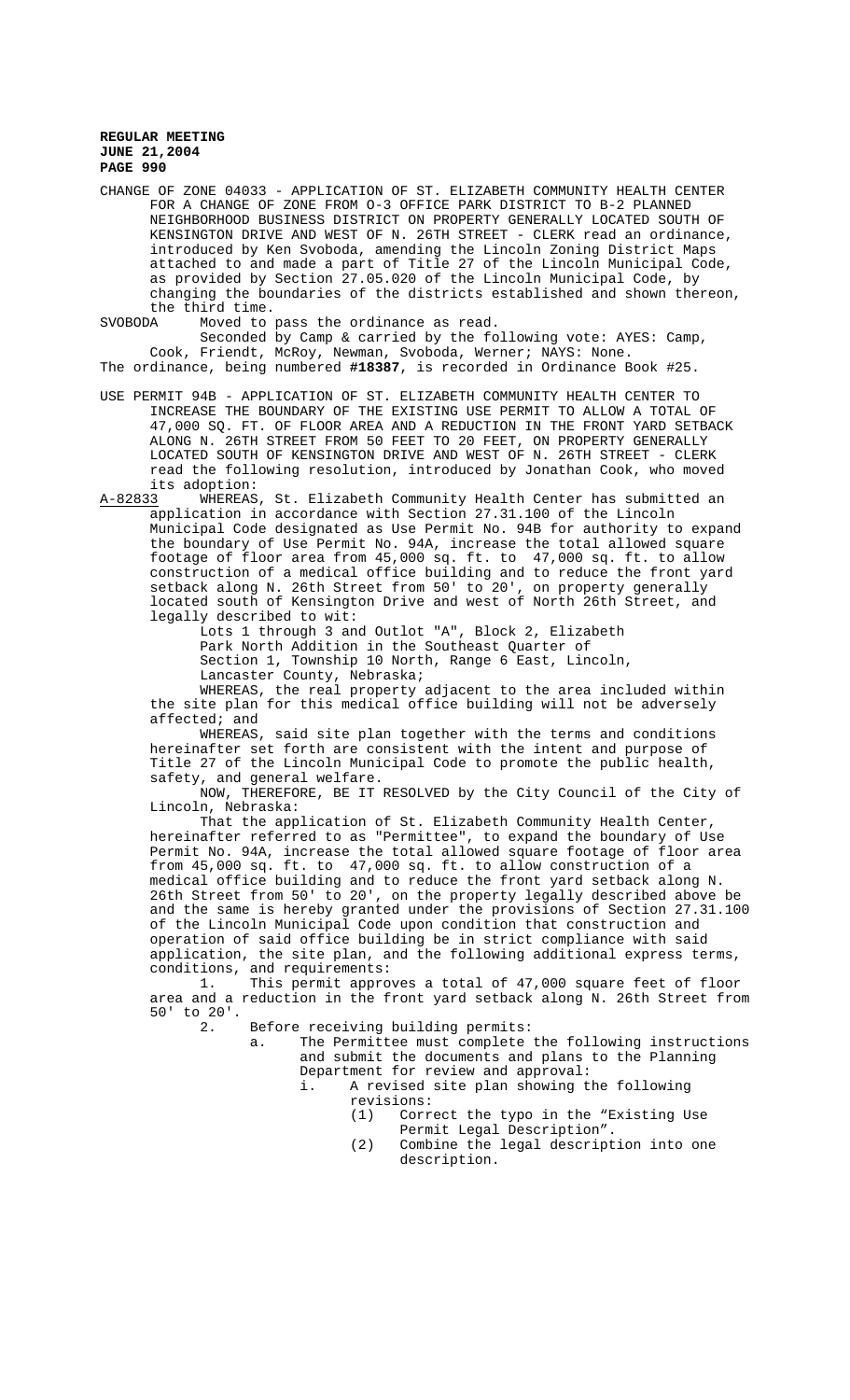CHANGE OF ZONE 04033 - APPLICATION OF ST. ELIZABETH COMMUNITY HEALTH CENTER FOR A CHANGE OF ZONE FROM O-3 OFFICE PARK DISTRICT TO B-2 PLANNED NEIGHBORHOOD BUSINESS DISTRICT ON PROPERTY GENERALLY LOCATED SOUTH OF KENSINGTON DRIVE AND WEST OF N. 26TH STREET - CLERK read an ordinance, introduced by Ken Svoboda, amending the Lincoln Zoning District Maps attached to and made a part of Title 27 of the Lincoln Municipal Code, as provided by Section 27.05.020 of the Lincoln Municipal Code, by changing the boundaries of the districts established and shown thereon, the third time.<br>SVOBODA Moved to

Moved to pass the ordinance as read.

Seconded by Camp & carried by the following vote: AYES: Camp, Cook, Friendt, McRoy, Newman, Svoboda, Werner; NAYS: None.

The ordinance, being numbered **#18387**, is recorded in Ordinance Book #25.

- USE PERMIT 94B APPLICATION OF ST. ELIZABETH COMMUNITY HEALTH CENTER TO INCREASE THE BOUNDARY OF THE EXISTING USE PERMIT TO ALLOW A TOTAL OF 47,000 SQ. FT. OF FLOOR AREA AND A REDUCTION IN THE FRONT YARD SETBACK ALONG N. 26TH STREET FROM 50 FEET TO 20 FEET, ON PROPERTY GENERALLY LOCATED SOUTH OF KENSINGTON DRIVE AND WEST OF N. 26TH STREET - CLERK read the following resolution, introduced by Jonathan Cook, who moved its adoption:<br>A-82833 WHEREAS
- WHEREAS, St. Elizabeth Community Health Center has submitted an application in accordance with Section 27.31.100 of the Lincoln Municipal Code designated as Use Permit No. 94B for authority to expand the boundary of Use Permit No. 94A, increase the total allowed square footage of floor area from 45,000 sq. ft. to 47,000 sq. ft. to allow construction of a medical office building and to reduce the front yard setback along N. 26th Street from 50' to 20', on property generally located south of Kensington Drive and west of North 26th Street, and legally described to wit:

Lots 1 through 3 and Outlot "A", Block 2, Elizabeth Park North Addition in the Southeast Quarter of Section 1, Township 10 North, Range 6 East, Lincoln, Lancaster County, Nebraska; WHEREAS, the real property adjacent to the area included within

the site plan for this medical office building will not be adversely affected; and

WHEREAS, said site plan together with the terms and conditions hereinafter set forth are consistent with the intent and purpose of Title 27 of the Lincoln Municipal Code to promote the public health, safety, and general welfare.

NOW, THEREFORE, BE IT RESOLVED by the City Council of the City of Lincoln, Nebraska:

That the application of St. Elizabeth Community Health Center, hereinafter referred to as "Permittee", to expand the boundary of Use Permit No. 94A, increase the total allowed square footage of floor area from 45,000 sq. ft. to 47,000 sq. ft. to allow construction of a medical office building and to reduce the front yard setback along N. 26th Street from 50' to 20', on the property legally described above be and the same is hereby granted under the provisions of Section 27.31.100 of the Lincoln Municipal Code upon condition that construction and operation of said office building be in strict compliance with said application, the site plan, and the following additional express terms, conditions, and requirements:<br>1. This permit appro

This permit approves a total of 47,000 square feet of floor area and a reduction in the front yard setback along N. 26th Street from 50' to  $20'.$ <br>2.

- Before receiving building permits:
	- a. The Permittee must complete the following instructions and submit the documents and plans to the Planning Department for review and approval:
		- i. A revised site plan showing the following
			- revisions:
				- (1) Correct the typo in the "Existing Use Permit Legal Description".
				- (2) Combine the legal description into one description.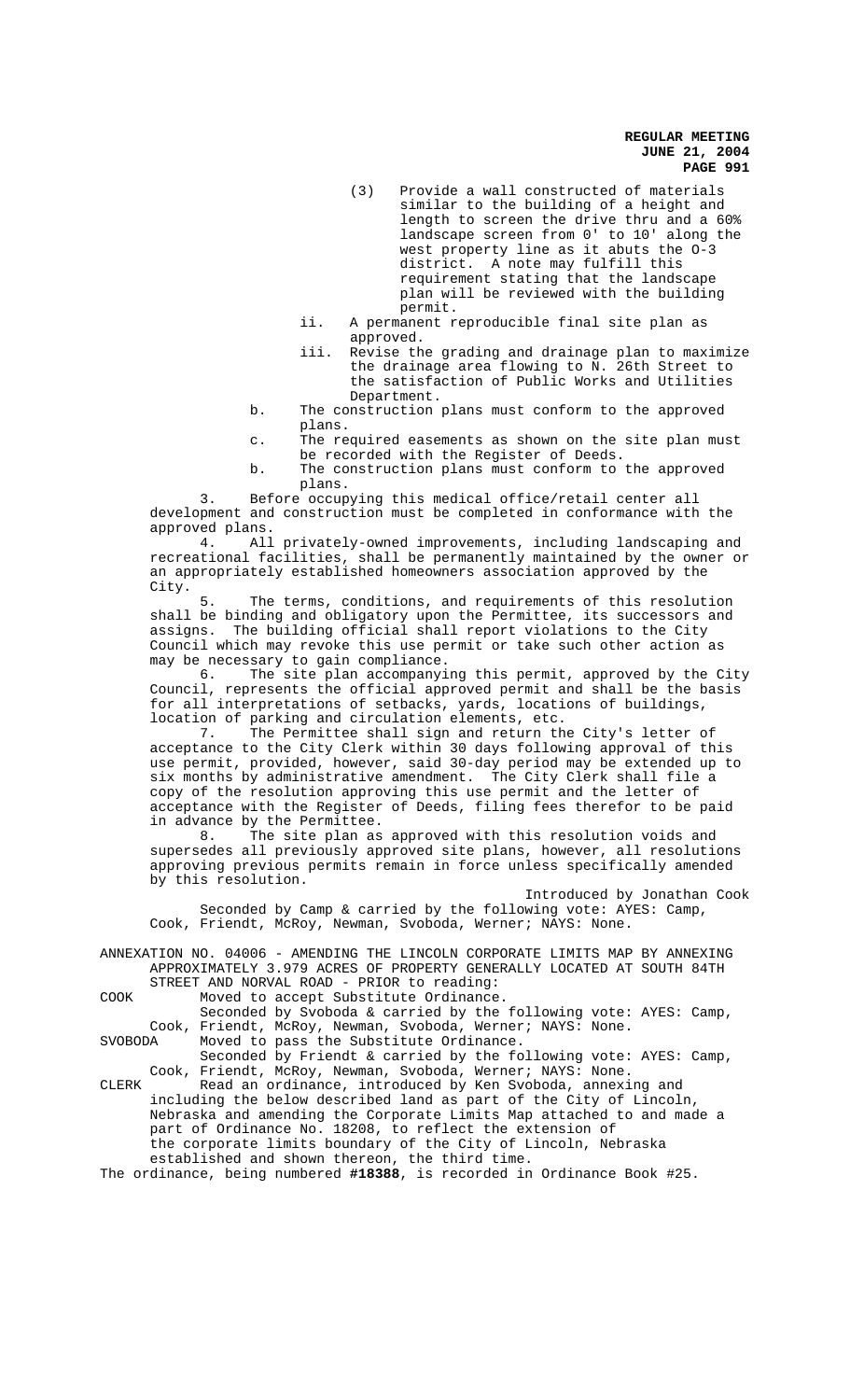- (3) Provide a wall constructed of materials similar to the building of a height and length to screen the drive thru and a 60% landscape screen from 0' to 10' along the west property line as it abuts the O-3 district. A note may fulfill this requirement stating that the landscape plan will be reviewed with the building permit.
- ii. A permanent reproducible final site plan as approved.
- iii. Revise the grading and drainage plan to maximize the drainage area flowing to N. 26th Street to the satisfaction of Public Works and Utilities Department.
- b. The construction plans must conform to the approved plans.
- c. The required easements as shown on the site plan must be recorded with the Register of Deeds.
- b. The construction plans must conform to the approved plans.

Before occupying this medical office/retail center all development and construction must be completed in conformance with the approved plans.

4. All privately-owned improvements, including landscaping and recreational facilities, shall be permanently maintained by the owner or an appropriately established homeowners association approved by the City.

The terms, conditions, and requirements of this resolution shall be binding and obligatory upon the Permittee, its successors and assigns. The building official shall report violations to the City Council which may revoke this use permit or take such other action as

may be necessary to gain compliance.<br>6. The site plan accompanyi The site plan accompanying this permit, approved by the City Council, represents the official approved permit and shall be the basis for all interpretations of setbacks, yards, locations of buildings, location of parking and circulation elements, etc.

7. The Permittee shall sign and return the City's letter of acceptance to the City Clerk within 30 days following approval of this use permit, provided, however, said 30-day period may be extended up to six months by administrative amendment. The City Clerk shall file a copy of the resolution approving this use permit and the letter of acceptance with the Register of Deeds, filing fees therefor to be paid in advance by the Permittee.

8. The site plan as approved with this resolution voids and supersedes all previously approved site plans, however, all resolutions approving previous permits remain in force unless specifically amended by this resolution.

Introduced by Jonathan Cook Seconded by Camp & carried by the following vote: AYES: Camp, Cook, Friendt, McRoy, Newman, Svoboda, Werner; NAYS: None.

ANNEXATION NO. 04006 - AMENDING THE LINCOLN CORPORATE LIMITS MAP BY ANNEXING APPROXIMATELY 3.979 ACRES OF PROPERTY GENERALLY LOCATED AT SOUTH 84TH STREET AND NORVAL ROAD - PRIOR to reading:

COOK Moved to accept Substitute Ordinance.

Seconded by Svoboda & carried by the following vote: AYES: Camp, Cook, Friendt, McRoy, Newman, Svoboda, Werner; NAYS: None. SVOBODA Moved to pass the Substitute Ordinance.

Seconded by Friendt & carried by the following vote: AYES: Camp, Cook, Friendt, McRoy, Newman, Svoboda, Werner; NAYS: None. CLERK Read an ordinance, introduced by Ken Svoboda, annexing and

including the below described land as part of the City of Lincoln, Nebraska and amending the Corporate Limits Map attached to and made a part of Ordinance No. 18208, to reflect the extension of the corporate limits boundary of the City of Lincoln, Nebraska established and shown thereon, the third time.

The ordinance, being numbered **#18388**, is recorded in Ordinance Book #25.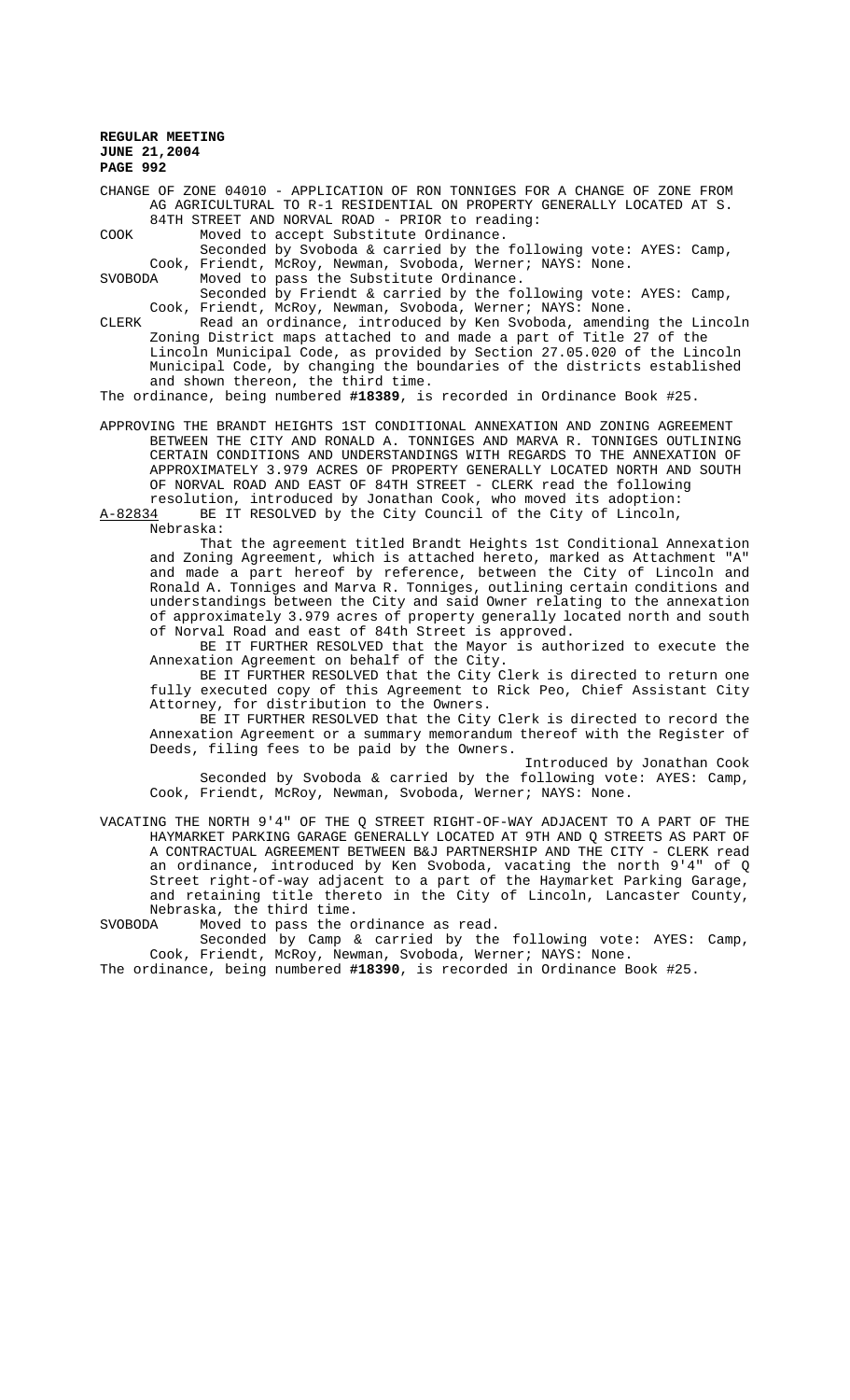CHANGE OF ZONE 04010 - APPLICATION OF RON TONNIGES FOR A CHANGE OF ZONE FROM AG AGRICULTURAL TO R-1 RESIDENTIAL ON PROPERTY GENERALLY LOCATED AT S. 84TH STREET AND NORVAL ROAD - PRIOR to reading:

COOK Moved to accept Substitute Ordinance. Seconded by Svoboda & carried by the following vote: AYES: Camp, Cook, Friendt, McRoy, Newman, Svoboda, Werner; NAYS: None.<br>SVOBODA Moved to pass the Substitute Ordinance. Moved to pass the Substitute Ordinance.

Seconded by Friendt & carried by the following vote: AYES: Camp, Cook, Friendt, McRoy, Newman, Svoboda, Werner; NAYS: None.

CLERK Read an ordinance, introduced by Ken Svoboda, amending the Lincoln Zoning District maps attached to and made a part of Title 27 of the Lincoln Municipal Code, as provided by Section 27.05.020 of the Lincoln Municipal Code, by changing the boundaries of the districts established and shown thereon, the third time.

The ordinance, being numbered **#18389**, is recorded in Ordinance Book #25.

APPROVING THE BRANDT HEIGHTS 1ST CONDITIONAL ANNEXATION AND ZONING AGREEMENT BETWEEN THE CITY AND RONALD A. TONNIGES AND MARVA R. TONNIGES OUTLINING CERTAIN CONDITIONS AND UNDERSTANDINGS WITH REGARDS TO THE ANNEXATION OF APPROXIMATELY 3.979 ACRES OF PROPERTY GENERALLY LOCATED NORTH AND SOUTH OF NORVAL ROAD AND EAST OF 84TH STREET - CLERK read the following

resolution, introduced by Jonathan Cook, who moved its adoption:<br>A-82834 BE IT RESOLVED by the City Council of the City of Lincoln, BE IT RESOLVED by the City Council of the City of Lincoln, Nebraska:

That the agreement titled Brandt Heights 1st Conditional Annexation and Zoning Agreement, which is attached hereto, marked as Attachment "A" and made a part hereof by reference, between the City of Lincoln and Ronald A. Tonniges and Marva R. Tonniges, outlining certain conditions and understandings between the City and said Owner relating to the annexation of approximately 3.979 acres of property generally located north and south of Norval Road and east of 84th Street is approved.

BE IT FURTHER RESOLVED that the Mayor is authorized to execute the Annexation Agreement on behalf of the City.

BE IT FURTHER RESOLVED that the City Clerk is directed to return one fully executed copy of this Agreement to Rick Peo, Chief Assistant City Attorney, for distribution to the Owners.

BE IT FURTHER RESOLVED that the City Clerk is directed to record the Annexation Agreement or a summary memorandum thereof with the Register of Deeds, filing fees to be paid by the Owners.

Introduced by Jonathan Cook Seconded by Svoboda & carried by the following vote: AYES: Camp, Cook, Friendt, McRoy, Newman, Svoboda, Werner; NAYS: None.

VACATING THE NORTH 9'4" OF THE Q STREET RIGHT-OF-WAY ADJACENT TO A PART OF THE HAYMARKET PARKING GARAGE GENERALLY LOCATED AT 9TH AND Q STREETS AS PART OF A CONTRACTUAL AGREEMENT BETWEEN B&J PARTNERSHIP AND THE CITY - CLERK read an ordinance, introduced by Ken Svoboda, vacating the north 9'4" of Q Street right-of-way adjacent to a part of the Haymarket Parking Garage, and retaining title thereto in the City of Lincoln, Lancaster County, Nebraska, the third time.<br>SVOBODA Moved to pass the o

SVOBODA Moved to pass the ordinance as read.

Seconded by Camp & carried by the following vote: AYES: Camp, Cook, Friendt, McRoy, Newman, Svoboda, Werner; NAYS: None.

The ordinance, being numbered **#18390**, is recorded in Ordinance Book #25.